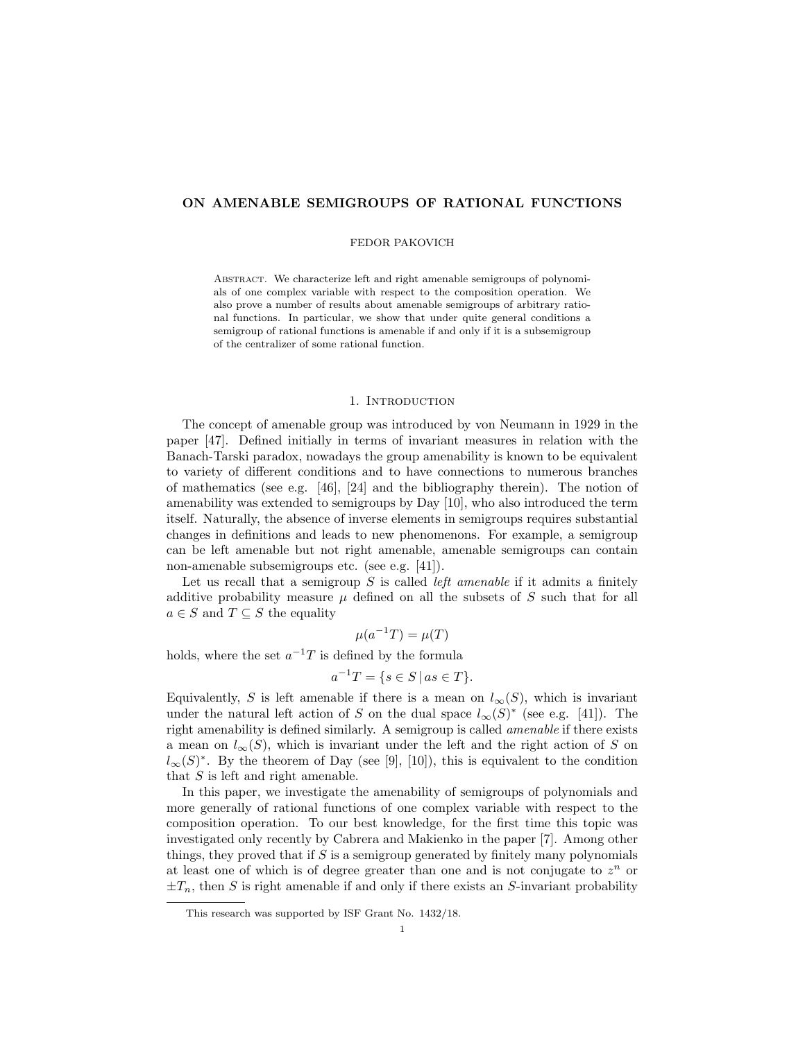# ON AMENABLE SEMIGROUPS OF RATIONAL FUNCTIONS

## FEDOR PAKOVICH

ABSTRACT. We characterize left and right amenable semigroups of polynomials of one complex variable with respect to the composition operation. We also prove a number of results about amenable semigroups of arbitrary rational functions. In particular, we show that under quite general conditions a semigroup of rational functions is amenable if and only if it is a subsemigroup of the centralizer of some rational function.

## 1. Introduction

The concept of amenable group was introduced by von Neumann in 1929 in the paper [47]. Defined initially in terms of invariant measures in relation with the Banach-Tarski paradox, nowadays the group amenability is known to be equivalent to variety of different conditions and to have connections to numerous branches of mathematics (see e.g.  $[46]$ ,  $[24]$  and the bibliography therein). The notion of amenability was extended to semigroups by Day [10], who also introduced the term itself. Naturally, the absence of inverse elements in semigroups requires substantial changes in definitions and leads to new phenomenons. For example, a semigroup can be left amenable but not right amenable, amenable semigroups can contain non-amenable subsemigroups etc. (see e.g. [41]).

Let us recall that a semigroup S is called *left amenable* if it admits a finitely additive probability measure  $\mu$  defined on all the subsets of S such that for all  $a \in S$  and  $T \subseteq S$  the equality

 $\mu(a^{-1}T) = \mu(T)$ 

holds, where the set  $a^{-1}T$  is defined by the formula

$$
a^{-1}T = \{ s \in S \, | \, as \in T \}.
$$

Equivalently, S is left amenable if there is a mean on  $l_{\infty}(S)$ , which is invariant under the natural left action of S on the dual space  $l_{\infty}(S)^*$  (see e.g. [41]). The right amenability is defined similarly. A semigroup is called amenable if there exists a mean on  $l_{\infty}(S)$ , which is invariant under the left and the right action of S on  $l_{\infty}(S)^*$ . By the theorem of Day (see [9], [10]), this is equivalent to the condition that  $S$  is left and right amenable.

In this paper, we investigate the amenability of semigroups of polynomials and more generally of rational functions of one complex variable with respect to the composition operation. To our best knowledge, for the first time this topic was investigated only recently by Cabrera and Makienko in the paper [7]. Among other things, they proved that if  $S$  is a semigroup generated by finitely many polynomials at least one of which is of degree greater than one and is not conjugate to  $z^n$  or  $\pm T_n$ , then S is right amenable if and only if there exists an S-invariant probability

This research was supported by ISF Grant No. 1432/18.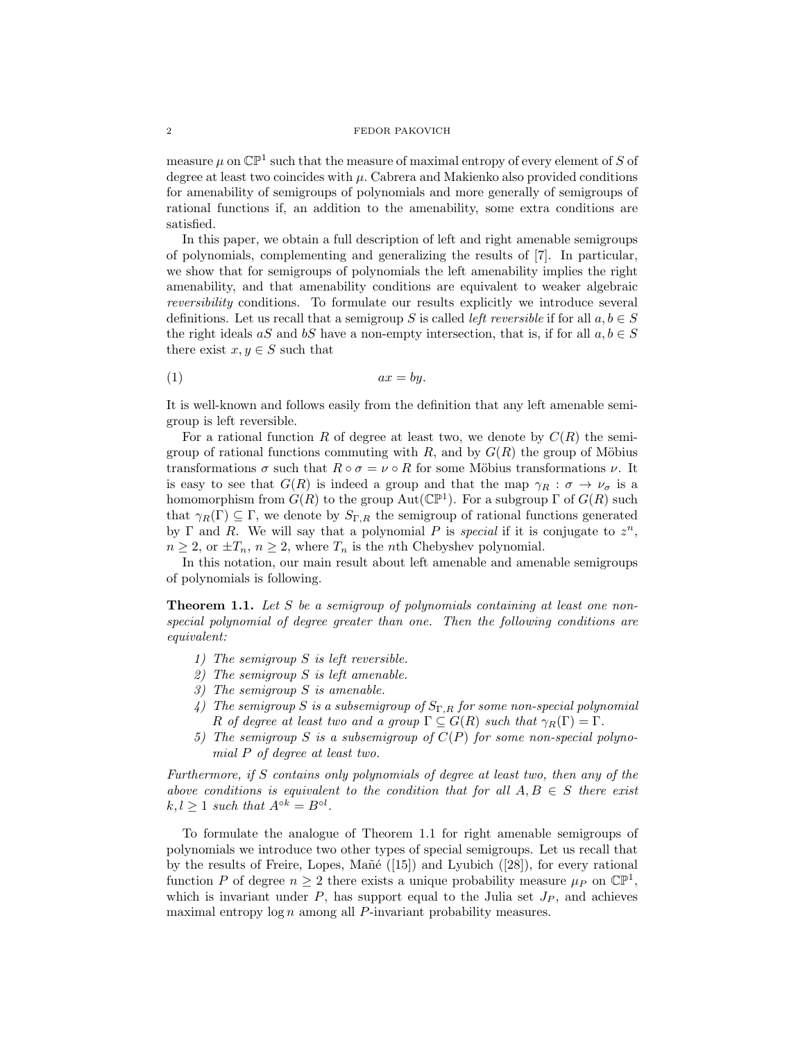measure  $\mu$  on  $\mathbb{CP}^1$  such that the measure of maximal entropy of every element of S of degree at least two coincides with  $\mu$ . Cabrera and Makienko also provided conditions for amenability of semigroups of polynomials and more generally of semigroups of rational functions if, an addition to the amenability, some extra conditions are satisfied.

In this paper, we obtain a full description of left and right amenable semigroups of polynomials, complementing and generalizing the results of [7]. In particular, we show that for semigroups of polynomials the left amenability implies the right amenability, and that amenability conditions are equivalent to weaker algebraic reversibility conditions. To formulate our results explicitly we introduce several definitions. Let us recall that a semigroup S is called *left reversible* if for all  $a, b \in S$ the right ideals aS and bS have a non-empty intersection, that is, if for all  $a, b \in S$ there exist  $x, y \in S$  such that

$$
(1) \t\t ax = by.
$$

It is well-known and follows easily from the definition that any left amenable semigroup is left reversible.

For a rational function R of degree at least two, we denote by  $C(R)$  the semigroup of rational functions commuting with  $R$ , and by  $G(R)$  the group of Möbius transformations  $\sigma$  such that  $R \circ \sigma = \nu \circ R$  for some Möbius transformations  $\nu$ . It is easy to see that  $G(R)$  is indeed a group and that the map  $\gamma_R : \sigma \to \nu_\sigma$  is a homomorphism from  $G(R)$  to the group Aut( $\mathbb{CP}^1$ ). For a subgroup  $\Gamma$  of  $G(R)$  such that  $\gamma_R(\Gamma) \subseteq \Gamma$ , we denote by  $S_{\Gamma,R}$  the semigroup of rational functions generated by  $\Gamma$  and  $R$ . We will say that a polynomial P is special if it is conjugate to  $z^n$ ,  $n \geq 2$ , or  $\pm T_n$ ,  $n \geq 2$ , where  $T_n$  is the *n*th Chebyshev polynomial.

In this notation, our main result about left amenable and amenable semigroups of polynomials is following.

**Theorem 1.1.** Let S be a semigroup of polynomials containing at least one nonspecial polynomial of degree greater than one. Then the following conditions are equivalent:

- 1) The semigroup S is left reversible.
- 2) The semigroup S is left amenable.
- 3) The semigroup S is amenable.
- 4) The semigroup S is a subsemigroup of  $S_{\Gamma,R}$  for some non-special polynomial R of degree at least two and a group  $\Gamma \subseteq G(R)$  such that  $\gamma_R(\Gamma) = \Gamma$ .
- 5) The semigroup S is a subsemigroup of  $C(P)$  for some non-special polynomial P of degree at least two.

Furthermore, if S contains only polynomials of degree at least two, then any of the above conditions is equivalent to the condition that for all  $A, B \in S$  there exist  $k, l \geq 1$  such that  $A^{\circ k} = B^{\circ l}$ .

To formulate the analogue of Theorem 1.1 for right amenable semigroups of polynomials we introduce two other types of special semigroups. Let us recall that by the results of Freire, Lopes, Mañé  $([15])$  and Lyubich  $([28])$ , for every rational function P of degree  $n \geq 2$  there exists a unique probability measure  $\mu_P$  on  $\mathbb{CP}^1$ , which is invariant under  $P$ , has support equal to the Julia set  $J_P$ , and achieves maximal entropy  $\log n$  among all P-invariant probability measures.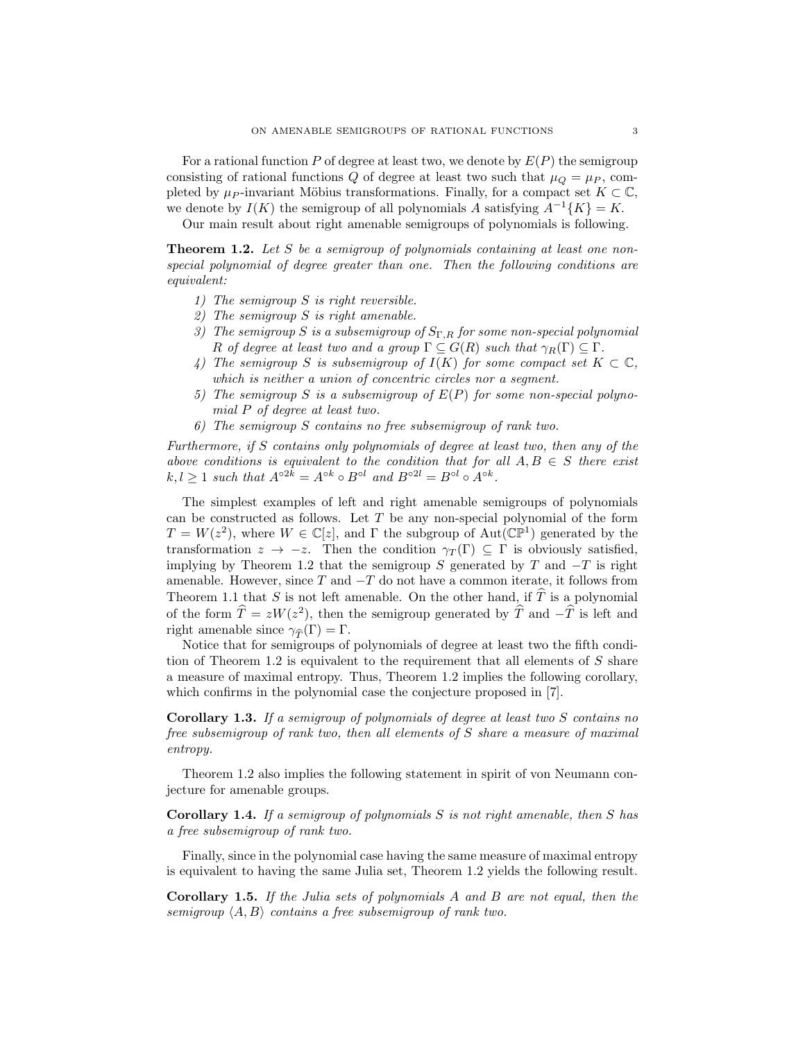For a rational function P of degree at least two, we denote by  $E(P)$  the semigroup consisting of rational functions Q of degree at least two such that  $\mu_Q = \mu_P$ , completed by  $\mu_P$ -invariant Möbius transformations. Finally, for a compact set  $K \subset \mathbb{C}$ , we denote by  $I(K)$  the semigroup of all polynomials A satisfying  $A^{-1}{K} = K$ .

Our main result about right amenable semigroups of polynomials is following.

**Theorem 1.2.** Let S be a semigroup of polynomials containing at least one nonspecial polynomial of degree greater than one. Then the following conditions are equivalent:

- 1) The semigroup S is right reversible.
- 2) The semigroup S is right amenable.
- 3) The semigroup S is a subsemigroup of  $S_{\Gamma,R}$  for some non-special polynomial R of degree at least two and a group  $\Gamma \subseteq G(R)$  such that  $\gamma_R(\Gamma) \subseteq \Gamma$ .
- 4) The semigroup S is subsemigroup of  $I(K)$  for some compact set  $K \subset \mathbb{C}$ , which is neither a union of concentric circles nor a segment.
- 5) The semigroup S is a subsemigroup of  $E(P)$  for some non-special polynomial P of degree at least two.
- 6) The semigroup S contains no free subsemigroup of rank two.

Furthermore, if S contains only polynomials of degree at least two, then any of the above conditions is equivalent to the condition that for all  $A, B \in S$  there exist  $k, l \geq 1$  such that  $A^{\circ 2k} = A^{\circ k} \circ B^{\circ l}$  and  $B^{\circ 2l} = B^{\circ l} \circ A^{\circ k}$ .

The simplest examples of left and right amenable semigroups of polynomials can be constructed as follows. Let  $T$  be any non-special polynomial of the form  $T = W(z^2)$ , where  $W \in \mathbb{C}[z]$ , and  $\Gamma$  the subgroup of Aut $(\mathbb{CP}^1)$  generated by the transformation  $z \to -z$ . Then the condition  $\gamma_T(\Gamma) \subseteq \Gamma$  is obviously satisfied, implying by Theorem 1.2 that the semigroup S generated by T and  $-T$  is right amenable. However, since  $T$  and  $-T$  do not have a common iterate, it follows from Theorem 1.1 that S is not left amenable. On the other hand, if  $\hat{T}$  is a polynomial of the form  $\hat{T} = zW(z^2)$ , then the semigroup generated by  $\hat{T}$  and  $-\hat{T}$  is left and right amenable since  $\gamma_{\widehat{\tau}}(\Gamma) = \Gamma$ .

Notice that for semigroups of polynomials of degree at least two the fifth condition of Theorem 1.2 is equivalent to the requirement that all elements of  $S$  share a measure of maximal entropy. Thus, Theorem 1.2 implies the following corollary, which confirms in the polynomial case the conjecture proposed in [7].

Corollary 1.3. If a semigroup of polynomials of degree at least two S contains no free subsemigroup of rank two, then all elements of S share a measure of maximal entropy.

Theorem 1.2 also implies the following statement in spirit of von Neumann conjecture for amenable groups.

Corollary 1.4. If a semigroup of polynomials S is not right amenable, then S has a free subsemigroup of rank two.

Finally, since in the polynomial case having the same measure of maximal entropy is equivalent to having the same Julia set, Theorem 1.2 yields the following result.

Corollary 1.5. If the Julia sets of polynomials A and B are not equal, then the semigroup  $\langle A, B \rangle$  contains a free subsemigroup of rank two.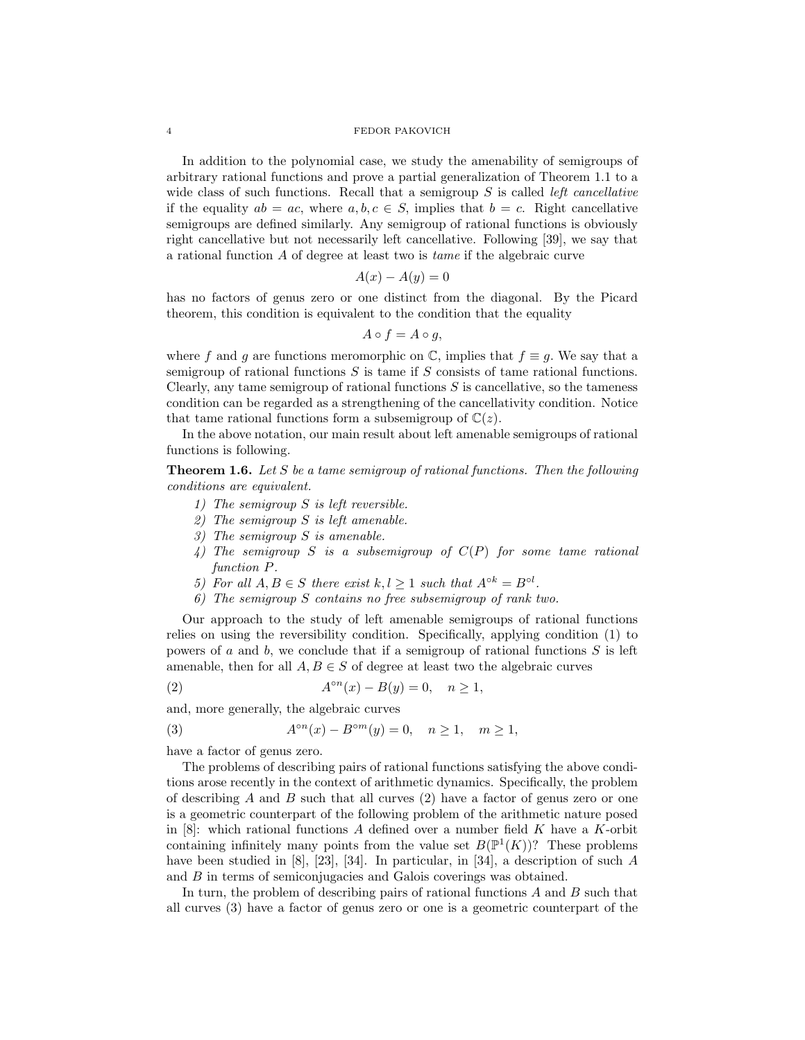In addition to the polynomial case, we study the amenability of semigroups of arbitrary rational functions and prove a partial generalization of Theorem 1.1 to a wide class of such functions. Recall that a semigroup  $S$  is called *left cancellative* if the equality  $ab = ac$ , where  $a, b, c \in S$ , implies that  $b = c$ . Right cancellative semigroups are defined similarly. Any semigroup of rational functions is obviously right cancellative but not necessarily left cancellative. Following [39], we say that a rational function A of degree at least two is tame if the algebraic curve

$$
A(x) - A(y) = 0
$$

has no factors of genus zero or one distinct from the diagonal. By the Picard theorem, this condition is equivalent to the condition that the equality

$$
A \circ f = A \circ g,
$$

where f and g are functions meromorphic on  $\mathbb{C}$ , implies that  $f \equiv g$ . We say that a semigroup of rational functions  $S$  is tame if  $S$  consists of tame rational functions. Clearly, any tame semigroup of rational functions  $S$  is cancellative, so the tameness condition can be regarded as a strengthening of the cancellativity condition. Notice that tame rational functions form a subsemigroup of  $\mathbb{C}(z)$ .

In the above notation, our main result about left amenable semigroups of rational functions is following.

**Theorem 1.6.** Let S be a tame semigroup of rational functions. Then the following conditions are equivalent.

- 1) The semigroup S is left reversible.
- 2) The semigroup S is left amenable.
- 3) The semigroup S is amenable.
- 4) The semigroup S is a subsemigroup of  $C(P)$  for some tame rational function P.
- 5) For all  $A, B \in S$  there exist  $k, l \geq 1$  such that  $A^{\circ k} = B^{\circ l}$ .
- 6) The semigroup S contains no free subsemigroup of rank two.

Our approach to the study of left amenable semigroups of rational functions relies on using the reversibility condition. Specifically, applying condition (1) to powers of a and b, we conclude that if a semigroup of rational functions  $S$  is left amenable, then for all  $A, B \in S$  of degree at least two the algebraic curves

$$
(2) \qquad \qquad A^{\circ n}(x) - B(y) = 0, \quad n \ge 1,
$$

and, more generally, the algebraic curves

 $(3)$ °<sup>n</sup>(x) − B<sup>om</sup>(y) = 0, n ≥ 1, m ≥ 1,

have a factor of genus zero.

The problems of describing pairs of rational functions satisfying the above conditions arose recently in the context of arithmetic dynamics. Specifically, the problem of describing  $A$  and  $B$  such that all curves  $(2)$  have a factor of genus zero or one is a geometric counterpart of the following problem of the arithmetic nature posed in  $[8]$ : which rational functions A defined over a number field K have a K-orbit containing infinitely many points from the value set  $B(\mathbb{P}^1(K))$ ? These problems have been studied in [8], [23], [34]. In particular, in [34], a description of such  $A$ and B in terms of semiconjugacies and Galois coverings was obtained.

In turn, the problem of describing pairs of rational functions A and B such that all curves (3) have a factor of genus zero or one is a geometric counterpart of the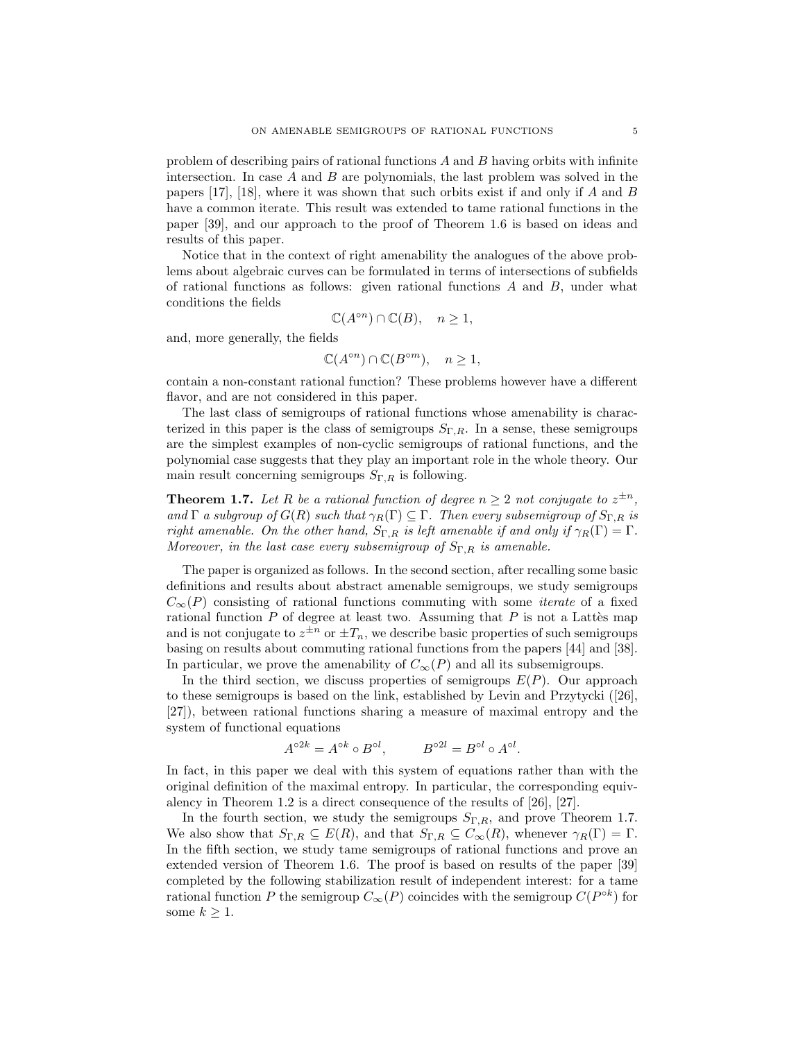problem of describing pairs of rational functions  $A$  and  $B$  having orbits with infinite intersection. In case A and B are polynomials, the last problem was solved in the papers [17], [18], where it was shown that such orbits exist if and only if  $A$  and  $B$ have a common iterate. This result was extended to tame rational functions in the paper [39], and our approach to the proof of Theorem 1.6 is based on ideas and results of this paper.

Notice that in the context of right amenability the analogues of the above problems about algebraic curves can be formulated in terms of intersections of subfields of rational functions as follows: given rational functions  $A$  and  $B$ , under what conditions the fields

$$
\mathbb{C}(A^{\circ n}) \cap \mathbb{C}(B), \quad n \ge 1,
$$

and, more generally, the fields

$$
\mathbb{C}(A^{\circ n}) \cap \mathbb{C}(B^{\circ m}), \quad n \ge 1,
$$

contain a non-constant rational function? These problems however have a different flavor, and are not considered in this paper.

The last class of semigroups of rational functions whose amenability is characterized in this paper is the class of semigroups  $S_{\Gamma,R}$ . In a sense, these semigroups are the simplest examples of non-cyclic semigroups of rational functions, and the polynomial case suggests that they play an important role in the whole theory. Our main result concerning semigroups  $S_{\Gamma,R}$  is following.

**Theorem 1.7.** Let R be a rational function of degree  $n \geq 2$  not conjugate to  $z^{\pm n}$ , and  $\Gamma$  a subgroup of  $G(R)$  such that  $\gamma_R(\Gamma) \subseteq \Gamma$ . Then every subsemigroup of  $S_{\Gamma,R}$  is right amenable. On the other hand,  $S_{\Gamma,R}$  is left amenable if and only if  $\gamma_R(\Gamma) = \Gamma$ . Moreover, in the last case every subsemigroup of  $S_{\Gamma,R}$  is amenable.

The paper is organized as follows. In the second section, after recalling some basic definitions and results about abstract amenable semigroups, we study semigroups  $C_{\infty}(P)$  consisting of rational functions commuting with some *iterate* of a fixed rational function  $P$  of degree at least two. Assuming that  $P$  is not a Lattes map and is not conjugate to  $z^{\pm n}$  or  $\pm T_n$ , we describe basic properties of such semigroups basing on results about commuting rational functions from the papers [44] and [38]. In particular, we prove the amenability of  $C_{\infty}(P)$  and all its subsemigroups.

In the third section, we discuss properties of semigroups  $E(P)$ . Our approach to these semigroups is based on the link, established by Levin and Przytycki ([26], [27]), between rational functions sharing a measure of maximal entropy and the system of functional equations

$$
A^{\circ 2k} = A^{\circ k} \circ B^{\circ l}, \qquad B^{\circ 2l} = B^{\circ l} \circ A^{\circ l}.
$$

In fact, in this paper we deal with this system of equations rather than with the original definition of the maximal entropy. In particular, the corresponding equivalency in Theorem 1.2 is a direct consequence of the results of [26], [27].

In the fourth section, we study the semigroups  $S_{\Gamma,R}$ , and prove Theorem 1.7. We also show that  $S_{\Gamma,R} \subseteq E(R)$ , and that  $S_{\Gamma,R} \subseteq C_{\infty}(R)$ , whenever  $\gamma_R(\Gamma) = \Gamma$ . In the fifth section, we study tame semigroups of rational functions and prove an extended version of Theorem 1.6. The proof is based on results of the paper [39] completed by the following stabilization result of independent interest: for a tame rational function P the semigroup  $C_{\infty}(P)$  coincides with the semigroup  $C(P^{\circ k})$  for some  $k \geq 1$ .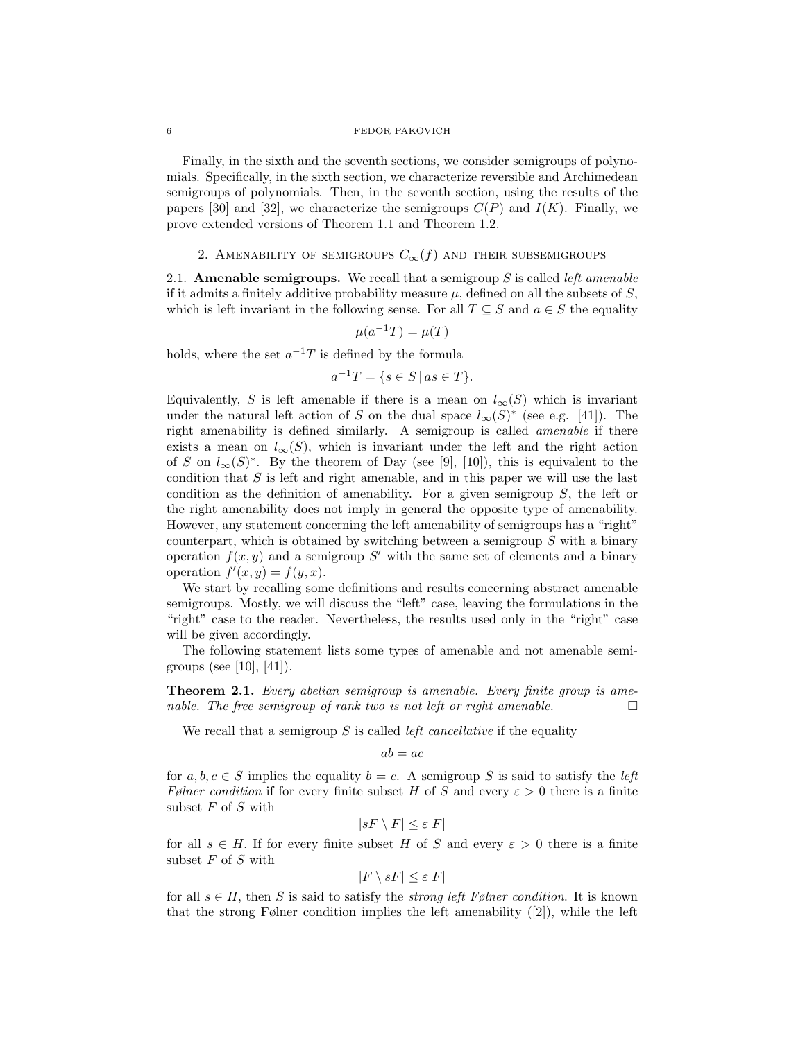Finally, in the sixth and the seventh sections, we consider semigroups of polynomials. Specifically, in the sixth section, we characterize reversible and Archimedean semigroups of polynomials. Then, in the seventh section, using the results of the papers [30] and [32], we characterize the semigroups  $C(P)$  and  $I(K)$ . Finally, we prove extended versions of Theorem 1.1 and Theorem 1.2.

# 2. AMENABILITY OF SEMIGROUPS  $C_{\infty}(f)$  and their subsemigroups

2.1. **Amenable semigroups.** We recall that a semigroup  $S$  is called *left amenable* if it admits a finitely additive probability measure  $\mu$ , defined on all the subsets of S, which is left invariant in the following sense. For all  $T \subseteq S$  and  $a \in S$  the equality

$$
\mu(a^{-1}T) = \mu(T)
$$

holds, where the set  $a^{-1}T$  is defined by the formula

$$
a^{-1}T = \{ s \in S \, | \, as \in T \}.
$$

Equivalently, S is left amenable if there is a mean on  $l_{\infty}(S)$  which is invariant under the natural left action of S on the dual space  $l_{\infty}(S)^*$  (see e.g. [41]). The right amenability is defined similarly. A semigroup is called amenable if there exists a mean on  $l_{\infty}(S)$ , which is invariant under the left and the right action of S on  $l_{\infty}(S)^*$ . By the theorem of Day (see [9], [10]), this is equivalent to the condition that  $S$  is left and right amenable, and in this paper we will use the last condition as the definition of amenability. For a given semigroup S, the left or the right amenability does not imply in general the opposite type of amenability. However, any statement concerning the left amenability of semigroups has a "right" counterpart, which is obtained by switching between a semigroup  $S$  with a binary operation  $f(x, y)$  and a semigroup S' with the same set of elements and a binary operation  $f'(x, y) = f(y, x)$ .

We start by recalling some definitions and results concerning abstract amenable semigroups. Mostly, we will discuss the "left" case, leaving the formulations in the "right" case to the reader. Nevertheless, the results used only in the "right" case will be given accordingly.

The following statement lists some types of amenable and not amenable semigroups (see [10], [41]).

Theorem 2.1. Every abelian semigroup is amenable. Every finite group is amenable. The free semigroup of rank two is not left or right amenable.  $\Box$ 

We recall that a semigroup  $S$  is called *left cancellative* if the equality

$$
ab = ac
$$

for  $a, b, c \in S$  implies the equality  $b = c$ . A semigroup S is said to satisfy the *left* Følner condition if for every finite subset H of S and every  $\varepsilon > 0$  there is a finite subset  $F$  of  $S$  with

$$
|sF \setminus F| \le \varepsilon |F|
$$

for all  $s \in H$ . If for every finite subset H of S and every  $\varepsilon > 0$  there is a finite subset  $F$  of  $S$  with

$$
|F \setminus sF| \le \varepsilon |F|
$$

for all  $s \in H$ , then S is said to satisfy the *strong left Følner condition*. It is known that the strong Følner condition implies the left amenability  $(2)$ , while the left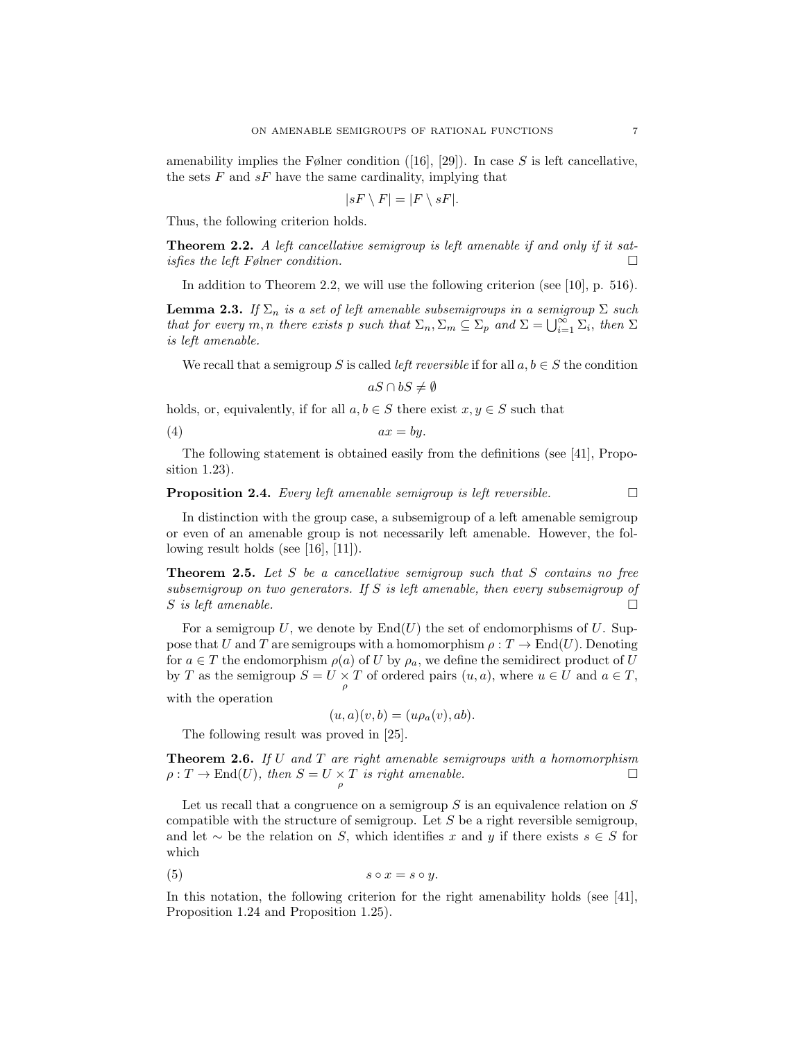amenability implies the Følner condition  $([16], [29])$ . In case S is left cancellative, the sets  $F$  and  $sF$  have the same cardinality, implying that

$$
|sF \setminus F| = |F \setminus sF|.
$$

Thus, the following criterion holds.

**Theorem 2.2.** A left cancellative semigroup is left amenable if and only if it satisfies the left Følner condition.  $\Box$ 

In addition to Theorem 2.2, we will use the following criterion (see [10], p. 516).

**Lemma 2.3.** If  $\Sigma_n$  is a set of left amenable subsemigroups in a semigroup  $\Sigma$  such that for every m, n there exists p such that  $\Sigma_n$ ,  $\Sigma_m \subseteq \Sigma_p$  and  $\Sigma = \bigcup_{i=1}^{\infty} \Sigma_i$ , then  $\Sigma$ is left amenable.

We recall that a semigroup S is called *left reversible* if for all  $a, b \in S$  the condition

$$
aS \cap bS \neq \emptyset
$$

holds, or, equivalently, if for all  $a, b \in S$  there exist  $x, y \in S$  such that

$$
(4) \t\t ax = by.
$$

The following statement is obtained easily from the definitions (see [41], Proposition 1.23).

# **Proposition 2.4.** Every left amenable semigroup is left reversible.  $\Box$

In distinction with the group case, a subsemigroup of a left amenable semigroup or even of an amenable group is not necessarily left amenable. However, the following result holds (see [16], [11]).

**Theorem 2.5.** Let S be a cancellative semigroup such that S contains no free subsemigroup on two generators. If S is left amenable, then every subsemigroup of S is left amenable.  $\Box$ 

For a semigroup U, we denote by  $\text{End}(U)$  the set of endomorphisms of U. Suppose that U and T are semigroups with a homomorphism  $\rho: T \to \text{End}(U)$ . Denoting for  $a \in T$  the endomorphism  $\rho(a)$  of U by  $\rho_a$ , we define the semidirect product of U by T as the semigroup  $S = U \times T$  of ordered pairs  $(u, a)$ , where  $u \in U$  and  $a \in T$ , ρ

with the operation

$$
(u, a)(v, b) = (u\rho_a(v), ab).
$$

The following result was proved in [25].

**Theorem 2.6.** If U and T are right amenable semigroups with a homomorphism  $\rho: T \to \text{End}(U)$ , then  $S = U \times T$  is right amenable.

Let us recall that a congruence on a semigroup  $S$  is an equivalence relation on  $S$ compatible with the structure of semigroup. Let  $S$  be a right reversible semigroup, and let  $\sim$  be the relation on S, which identifies x and y if there exists  $s \in S$  for which

$$
(5) \t\t s \circ x = s \circ y.
$$

In this notation, the following criterion for the right amenability holds (see [41], Proposition 1.24 and Proposition 1.25).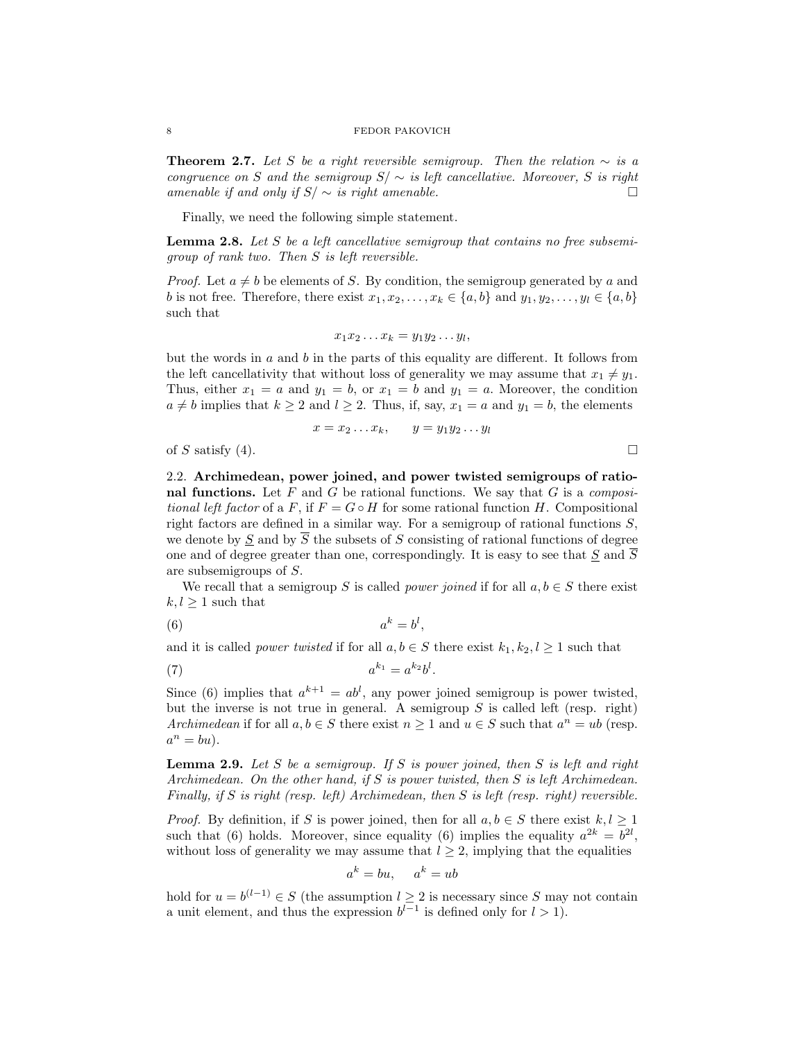**Theorem 2.7.** Let S be a right reversible semigroup. Then the relation  $\sim$  is a congruence on S and the semigroup  $S / \sim$  is left cancellative. Moreover, S is right amenable if and only if  $S/\sim$  is right amenable.  $\Box$ 

Finally, we need the following simple statement.

**Lemma 2.8.** Let S be a left cancellative semigroup that contains no free subsemigroup of rank two. Then S is left reversible.

*Proof.* Let  $a \neq b$  be elements of S. By condition, the semigroup generated by a and b is not free. Therefore, there exist  $x_1, x_2, \ldots, x_k \in \{a, b\}$  and  $y_1, y_2, \ldots, y_l \in \{a, b\}$ such that

$$
x_1x_2\ldots x_k=y_1y_2\ldots y_l,
$$

but the words in  $a$  and  $b$  in the parts of this equality are different. It follows from the left cancellativity that without loss of generality we may assume that  $x_1 \neq y_1$ . Thus, either  $x_1 = a$  and  $y_1 = b$ , or  $x_1 = b$  and  $y_1 = a$ . Moreover, the condition  $a \neq b$  implies that  $k \geq 2$  and  $l \geq 2$ . Thus, if, say,  $x_1 = a$  and  $y_1 = b$ , the elements

$$
x = x_2 \dots x_k, \qquad y = y_1 y_2 \dots y_l
$$

of S satisfy (4).  $\Box$ 

2.2. Archimedean, power joined, and power twisted semigroups of rational functions. Let  $F$  and  $G$  be rational functions. We say that  $G$  is a *composi*tional left factor of a F, if  $F = G \circ H$  for some rational function H. Compositional right factors are defined in a similar way. For a semigroup of rational functions  $S$ , we denote by S and by  $\overline{S}$  the subsets of S consisting of rational functions of degree one and of degree greater than one, correspondingly. It is easy to see that  $S$  and  $\overline{S}$ are subsemigroups of S.

We recall that a semigroup S is called *power joined* if for all  $a, b \in S$  there exist  $k, l > 1$  such that

,

$$
(6) \t a^k = b^l
$$

and it is called *power twisted* if for all  $a, b \in S$  there exist  $k_1, k_2, l \ge 1$  such that

$$
a^{k_1} = a^{k_2}b^l.
$$

Since (6) implies that  $a^{k+1} = ab^l$ , any power joined semigroup is power twisted, but the inverse is not true in general. A semigroup  $S$  is called left (resp. right) Archimedean if for all  $a, b \in S$  there exist  $n \geq 1$  and  $u \in S$  such that  $a^n = ub$  (resp.  $a^n = bu$ ).

**Lemma 2.9.** Let S be a semigroup. If S is power joined, then S is left and right Archimedean. On the other hand, if S is power twisted, then S is left Archimedean. Finally, if S is right (resp. left) Archimedean, then S is left (resp. right) reversible.

*Proof.* By definition, if S is power joined, then for all  $a, b \in S$  there exist  $k, l \geq 1$ such that (6) holds. Moreover, since equality (6) implies the equality  $a^{2k} = b^{2l}$ , without loss of generality we may assume that  $l \geq 2$ , implying that the equalities

$$
a^k = bu, \quad a^k = ub
$$

hold for  $u = b^{(l-1)} \in S$  (the assumption  $l \geq 2$  is necessary since S may not contain a unit element, and thus the expression  $b^{l-1}$  is defined only for  $l > 1$ .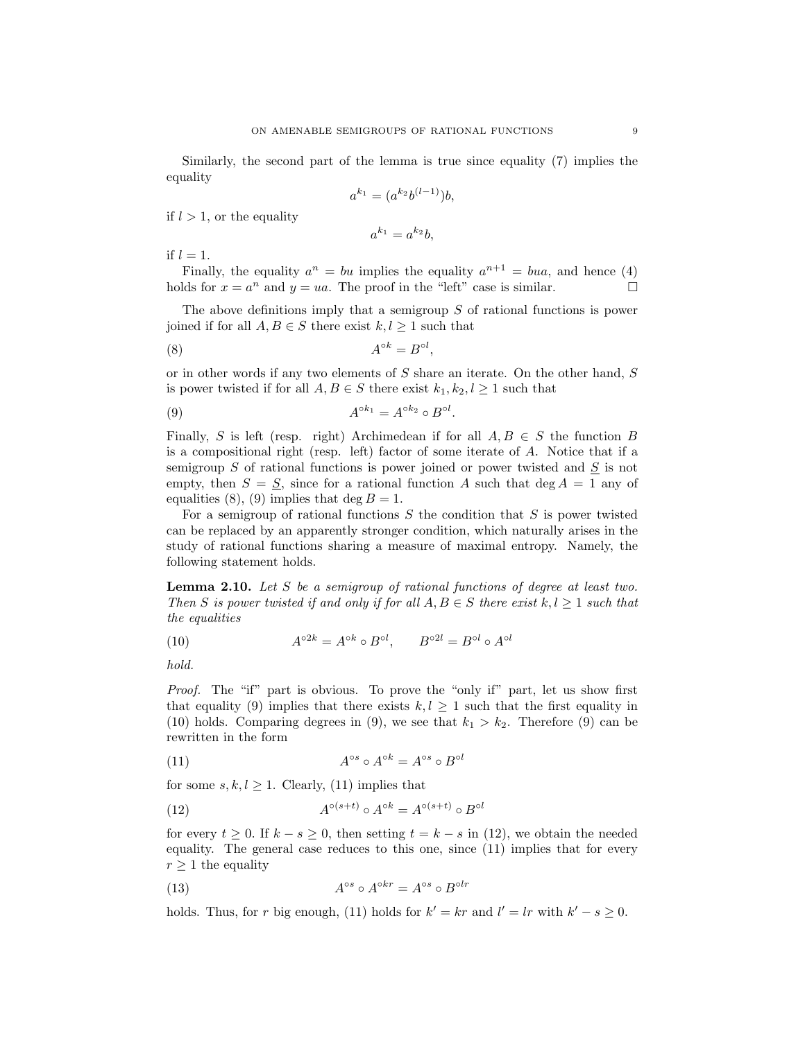Similarly, the second part of the lemma is true since equality (7) implies the equality

$$
a^{k_1} = (a^{k_2}b^{(l-1)})b,
$$

if  $l > 1$ , or the equality

$$
a^{k_1} = a^{k_2}b,
$$

if  $l = 1$ .

Finally, the equality  $a^n = bu$  implies the equality  $a^{n+1} = bua$ , and hence (4) holds for  $x = a^n$  and  $y = ua$ . The proof in the "left" case is similar.

The above definitions imply that a semigroup S of rational functions is power joined if for all  $A, B \in S$  there exist  $k, l \geq 1$  such that

$$
(8) \t\t Aok = Bol,
$$

or in other words if any two elements of S share an iterate. On the other hand, S is power twisted if for all  $A, B \in S$  there exist  $k_1, k_2, l \geq 1$  such that

$$
(9) \t Aok1 = Aok2 \circ Bol.
$$

Finally, S is left (resp. right) Archimedean if for all  $A, B \in S$  the function B is a compositional right (resp. left) factor of some iterate of A. Notice that if a semigroup  $S$  of rational functions is power joined or power twisted and  $S$  is not empty, then  $S = S$ , since for a rational function A such that deg  $A = 1$  any of equalities (8), (9) implies that deg  $B = 1$ .

For a semigroup of rational functions  $S$  the condition that  $S$  is power twisted can be replaced by an apparently stronger condition, which naturally arises in the study of rational functions sharing a measure of maximal entropy. Namely, the following statement holds.

Lemma 2.10. Let S be a semigroup of rational functions of degree at least two. Then S is power twisted if and only if for all  $A, B \in S$  there exist  $k, l \geq 1$  such that the equalities

(10) 
$$
A^{\circ 2k} = A^{\circ k} \circ B^{\circ l}, \qquad B^{\circ 2l} = B^{\circ l} \circ A^{\circ l}
$$

hold.

Proof. The "if" part is obvious. To prove the "only if" part, let us show first that equality (9) implies that there exists  $k, l \geq 1$  such that the first equality in (10) holds. Comparing degrees in (9), we see that  $k_1 > k_2$ . Therefore (9) can be rewritten in the form

(11) 
$$
A^{\circ s} \circ A^{\circ k} = A^{\circ s} \circ B^{\circ l}
$$

for some  $s, k, l \geq 1$ . Clearly, (11) implies that

(12) 
$$
A^{\circ (s+t)} \circ A^{\circ k} = A^{\circ (s+t)} \circ B^{\circ l}
$$

for every  $t \geq 0$ . If  $k - s \geq 0$ , then setting  $t = k - s$  in (12), we obtain the needed equality. The general case reduces to this one, since (11) implies that for every  $r \geq 1$  the equality

(13) 
$$
A^{\circ s} \circ A^{\circ kr} = A^{\circ s} \circ B^{\circ lr}
$$

holds. Thus, for r big enough, (11) holds for  $k' = kr$  and  $l' = lr$  with  $k' - s \geq 0$ .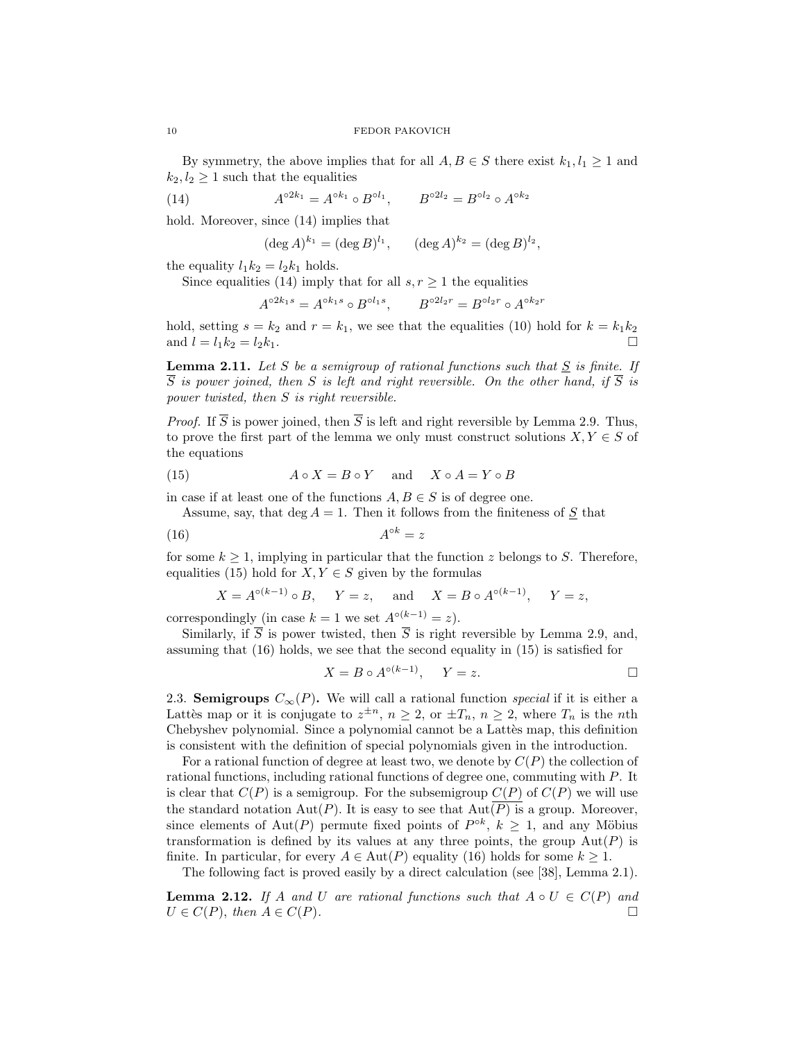By symmetry, the above implies that for all  $A, B \in S$  there exist  $k_1, l_1 \geq 1$  and  $k_2, l_2 \geq 1$  such that the equalities

(14) 
$$
A^{\circ 2k_1} = A^{\circ k_1} \circ B^{\circ l_1}, \qquad B^{\circ 2l_2} = B^{\circ l_2} \circ A^{\circ k_2}
$$

hold. Moreover, since  $(14)$  implies that

$$
(\deg A)^{k_1} = (\deg B)^{l_1}, \quad (\deg A)^{k_2} = (\deg B)^{l_2},
$$

the equality  $l_1k_2 = l_2k_1$  holds.

Since equalities (14) imply that for all  $s, r \geq 1$  the equalities

$$
A^{\circ 2k_1 s} = A^{\circ k_1 s} \circ B^{\circ l_1 s}, \qquad B^{\circ 2l_2 r} = B^{\circ l_2 r} \circ A^{\circ k_2 r}
$$

hold, setting  $s = k_2$  and  $r = k_1$ , we see that the equalities (10) hold for  $k = k_1 k_2$ and  $l = l_1 k_2 = l_2 k_1$ .

**Lemma 2.11.** Let S be a semigroup of rational functions such that  $S$  is finite. If  $\overline{S}$  is power joined, then S is left and right reversible. On the other hand, if  $\overline{S}$  is power twisted, then S is right reversible.

*Proof.* If  $\overline{S}$  is power joined, then  $\overline{S}$  is left and right reversible by Lemma 2.9. Thus, to prove the first part of the lemma we only must construct solutions  $X, Y \in S$  of the equations

(15) 
$$
A \circ X = B \circ Y
$$
 and  $X \circ A = Y \circ B$ 

in case if at least one of the functions  $A, B \in S$  is of degree one.

Assume, say, that deg  $A = 1$ . Then it follows from the finiteness of  $S$  that

$$
(16)\qquad \qquad A^{\circ k} = z
$$

for some  $k \geq 1$ , implying in particular that the function z belongs to S. Therefore, equalities (15) hold for  $X, Y \in S$  given by the formulas

$$
X = A^{\circ (k-1)} \circ B
$$
,  $Y = z$ , and  $X = B \circ A^{\circ (k-1)}$ ,  $Y = z$ ,

correspondingly (in case  $k = 1$  we set  $A^{\circ(k-1)} = z$ ).

Similarly, if  $\overline{S}$  is power twisted, then  $\overline{S}$  is right reversible by Lemma 2.9, and, assuming that (16) holds, we see that the second equality in (15) is satisfied for

$$
X = B \circ A^{\circ (k-1)}, \quad Y = z.
$$

2.3. Semigroups  $C_{\infty}(P)$ . We will call a rational function *special* if it is either a Lattès map or it is conjugate to  $z^{\pm n}$ ,  $n \geq 2$ , or  $\pm T_n$ ,  $n \geq 2$ , where  $T_n$  is the *nth* Chebyshev polynomial. Since a polynomial cannot be a Lattes map, this definition is consistent with the definition of special polynomials given in the introduction.

For a rational function of degree at least two, we denote by  $C(P)$  the collection of rational functions, including rational functions of degree one, commuting with P. It is clear that  $C(P)$  is a semigroup. For the subsemigroup  $C(P)$  of  $C(P)$  we will use the standard notation  $Aut(P)$ . It is easy to see that  $Aut(\overline{P})$  is a group. Moreover, since elements of Aut(P) permute fixed points of  $P^{\circ k}$ ,  $k \geq 1$ , and any Möbius transformation is defined by its values at any three points, the group  $Aut(P)$  is finite. In particular, for every  $A \in Aut(P)$  equality (16) holds for some  $k \geq 1$ .

The following fact is proved easily by a direct calculation (see [38], Lemma 2.1).

**Lemma 2.12.** If A and U are rational functions such that  $A \circ U \in C(P)$  and  $U \in C(P)$ , then  $A \in C(P)$ .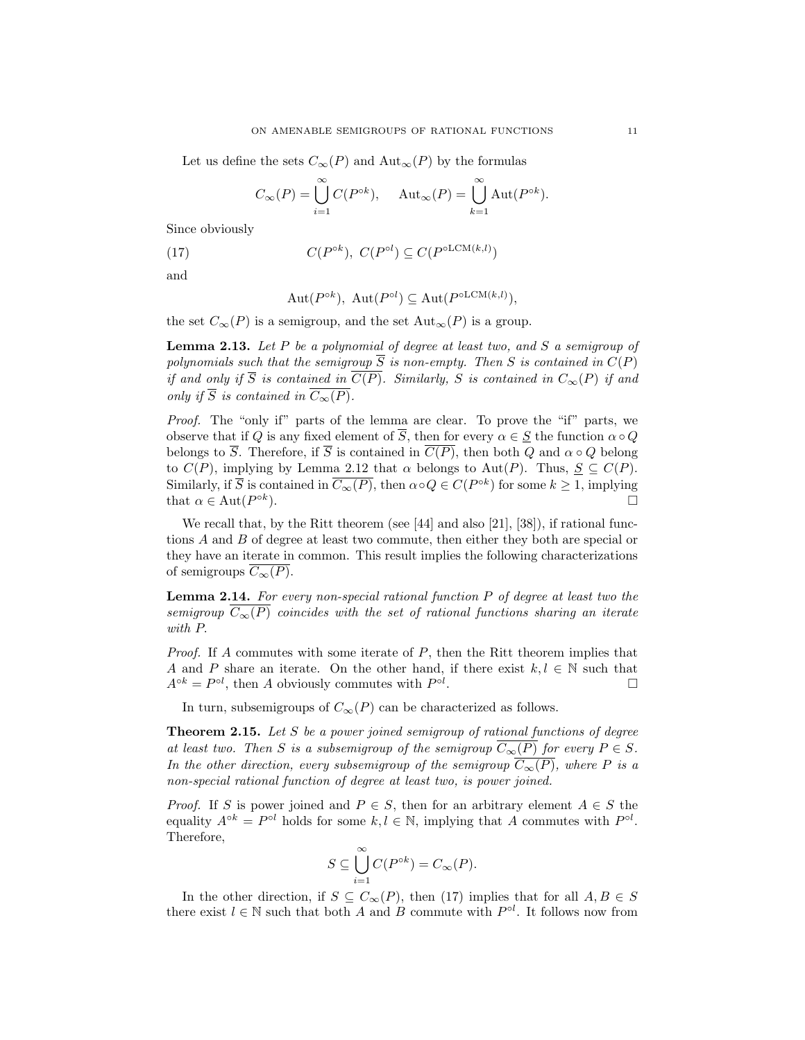Let us define the sets  $C_{\infty}(P)$  and  $\text{Aut}_{\infty}(P)$  by the formulas

$$
C_{\infty}(P) = \bigcup_{i=1}^{\infty} C(P^{\circ k}), \quad \text{Aut}_{\infty}(P) = \bigcup_{k=1}^{\infty} \text{Aut}(P^{\circ k}).
$$

Since obviously

(17) 
$$
C(P^{\circ k}), \ C(P^{\circ l}) \subseteq C(P^{\circ LCM(k,l)})
$$

and

$$
Aut(P^{\circ k}), Aut(P^{\circ l}) \subseteq Aut(P^{\circ LCM(k,l)}),
$$

the set  $C_{\infty}(P)$  is a semigroup, and the set  ${\rm Aut}_{\infty}(P)$  is a group.

**Lemma 2.13.** Let  $P$  be a polynomial of degree at least two, and  $S$  a semigroup of polynomials such that the semigroup  $\overline{S}$  is non-empty. Then S is contained in  $C(P)$ if and only if  $\overline{S}$  is contained in  $\overline{C(P)}$ . Similarly, S is contained in  $C_{\infty}(P)$  if and only if  $\overline{S}$  is contained in  $\overline{C_{\infty}(P)}$ .

Proof. The "only if" parts of the lemma are clear. To prove the "if" parts, we observe that if Q is any fixed element of  $\overline{S}$ , then for every  $\alpha \in S$  the function  $\alpha \circ Q$ belongs to  $\overline{S}$ . Therefore, if  $\overline{S}$  is contained in  $\overline{C(P)}$ , then both Q and  $\alpha \circ Q$  belong to  $C(P)$ , implying by Lemma 2.12 that  $\alpha$  belongs to Aut $(P)$ . Thus,  $\underline{S} \subseteq C(P)$ . Similarly, if  $\overline{S}$  is contained in  $\overline{C_{\infty}(P)}$ , then  $\alpha \circ Q \in C(P^{\circ k})$  for some  $k \geq 1$ , implying that  $\alpha \in \text{Aut}(P^{\circ k})$ ).  $\Box$ 

We recall that, by the Ritt theorem (see [44] and also [21], [38]), if rational functions A and B of degree at least two commute, then either they both are special or they have an iterate in common. This result implies the following characterizations of semigroups  $\overline{C_{\infty}(P)}$ .

Lemma 2.14. For every non-special rational function P of degree at least two the semigroup  $\overline{C_{\infty}(P)}$  coincides with the set of rational functions sharing an iterate with P.

*Proof.* If A commutes with some iterate of  $P$ , then the Ritt theorem implies that A and P share an iterate. On the other hand, if there exist  $k, l \in \mathbb{N}$  such that  $A^{\circ k} = P^{\circ l}$ , then A obviously commutes with  $P^{\circ l}$ . □

In turn, subsemigroups of  $C_{\infty}(P)$  can be characterized as follows.

**Theorem 2.15.** Let S be a power joined semigroup of rational functions of degree at least two. Then S is a subsemigroup of the semigroup  $\overline{C_{\infty}(P)}$  for every  $P \in S$ . In the other direction, every subsemigroup of the semigroup  $\overline{C_{\infty}(P)}$ , where P is a non-special rational function of degree at least two, is power joined.

*Proof.* If S is power joined and  $P \in S$ , then for an arbitrary element  $A \in S$  the equality  $A^{\circ k} = P^{\circ l}$  holds for some  $k, l \in \mathbb{N}$ , implying that A commutes with  $P^{\circ l}$ . Therefore,

$$
S\subseteq \bigcup_{i=1}^\infty C(P^{\circ k})=C_\infty(P).
$$

In the other direction, if  $S \subseteq C_{\infty}(P)$ , then (17) implies that for all  $A, B \in S$ there exist  $l \in \mathbb{N}$  such that both A and B commute with  $P^{\circ l}$ . It follows now from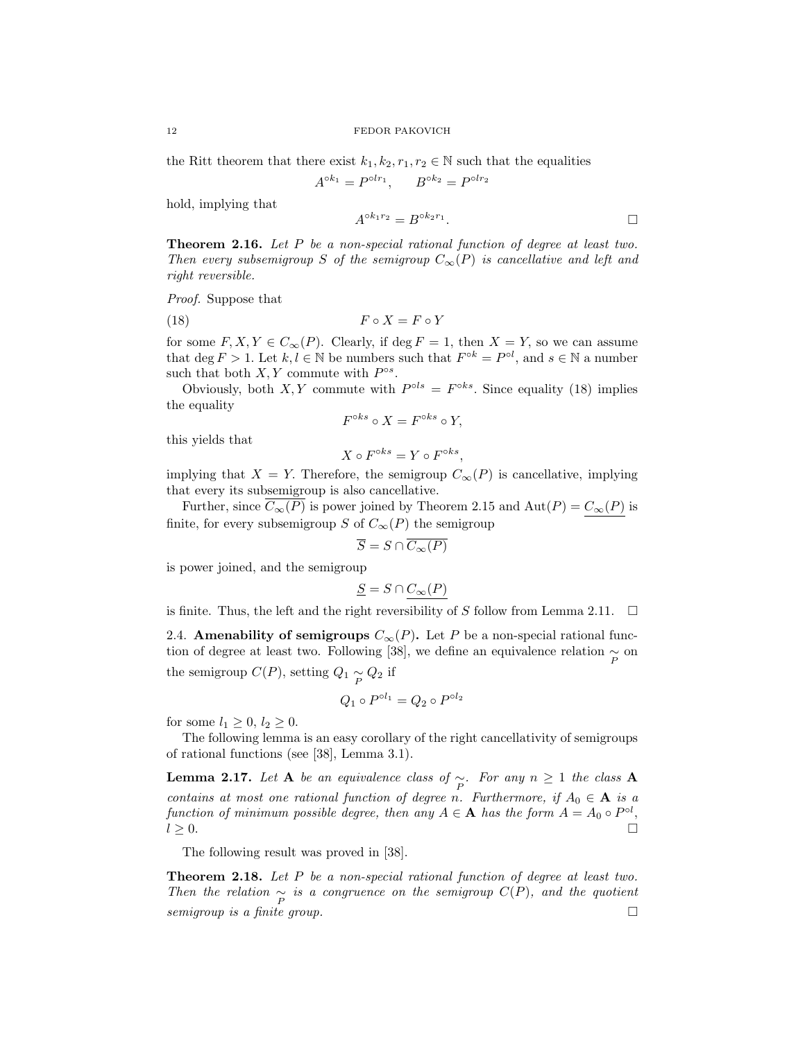the Ritt theorem that there exist  $k_1, k_2, r_1, r_2 \in \mathbb{N}$  such that the equalities

$$
A^{\circ k_1} = P^{\circ l r_1}, \qquad B^{\circ k_2} = P^{\circ l r_2}
$$

hold, implying that

$$
A^{\circ k_1 r_2} = B^{\circ k_2 r_1}.
$$

**Theorem 2.16.** Let  $P$  be a non-special rational function of degree at least two. Then every subsemigroup S of the semigroup  $C_{\infty}(P)$  is cancellative and left and right reversible.

Proof. Suppose that

$$
(18) \t\t F \circ X = F \circ Y
$$

for some  $F, X, Y \in C_{\infty}(P)$ . Clearly, if deg  $F = 1$ , then  $X = Y$ , so we can assume that  $\deg F > 1$ . Let  $k, l \in \mathbb{N}$  be numbers such that  $F^{\circ k} = P^{\circ l}$ , and  $s \in \mathbb{N}$  a number such that both  $X, Y$  commute with  $P^{\circ s}$ .

Obviously, both X, Y commute with  $P^{ols} = F^{oks}$ . Since equality (18) implies the equality

$$
F^{\circ ks} \circ X = F^{\circ ks} \circ Y,
$$

this yields that

$$
X \circ F^{\circ ks} = Y \circ F^{\circ ks}
$$

,

implying that  $X = Y$ . Therefore, the semigroup  $C_{\infty}(P)$  is cancellative, implying that every its subsemigroup is also cancellative.

Further, since  $C_{\infty}(P)$  is power joined by Theorem 2.15 and  $Aut(P) = C_{\infty}(P)$  is finite, for every subsemigroup S of  $C_{\infty}(P)$  the semigroup

$$
\overline{S} = S \cap \overline{C_{\infty}(P)}
$$

is power joined, and the semigroup

$$
\underline{S} = S \cap C_{\infty}(P)
$$

is finite. Thus, the left and the right reversibility of S follow from Lemma 2.11.  $\Box$ 

2.4. Amenability of semigroups  $C_{\infty}(P)$ . Let P be a non-special rational function of degree at least two. Following [38], we define an equivalence relation  $\underset{P}{\sim}$  on the semigroup  $C(P)$ , setting  $Q_1 \underset{P}{\sim} Q_2$  if

$$
Q_1 \circ P^{\circ l_1} = Q_2 \circ P^{\circ l_2}
$$

for some  $l_1 \geq 0$ ,  $l_2 \geq 0$ .

The following lemma is an easy corollary of the right cancellativity of semigroups of rational functions (see [38], Lemma 3.1).

**Lemma 2.17.** Let **A** be an equivalence class of  $\underset{P}{\sim}$ . For any  $n \geq 1$  the class **A** contains at most one rational function of degree n. Furthermore, if  $A_0 \in \mathbf{A}$  is a function of minimum possible degree, then any  $A \in \mathbf{A}$  has the form  $A = A_0 \circ P^{\circ l}$ ,  $l \geq 0.$ 

The following result was proved in [38].

**Theorem 2.18.** Let P be a non-special rational function of degree at least two. Then the relation  $\sim_{P}$  is a congruence on the semigroup  $C(P)$ , and the quotient semigroup is a finite group.  $\Box$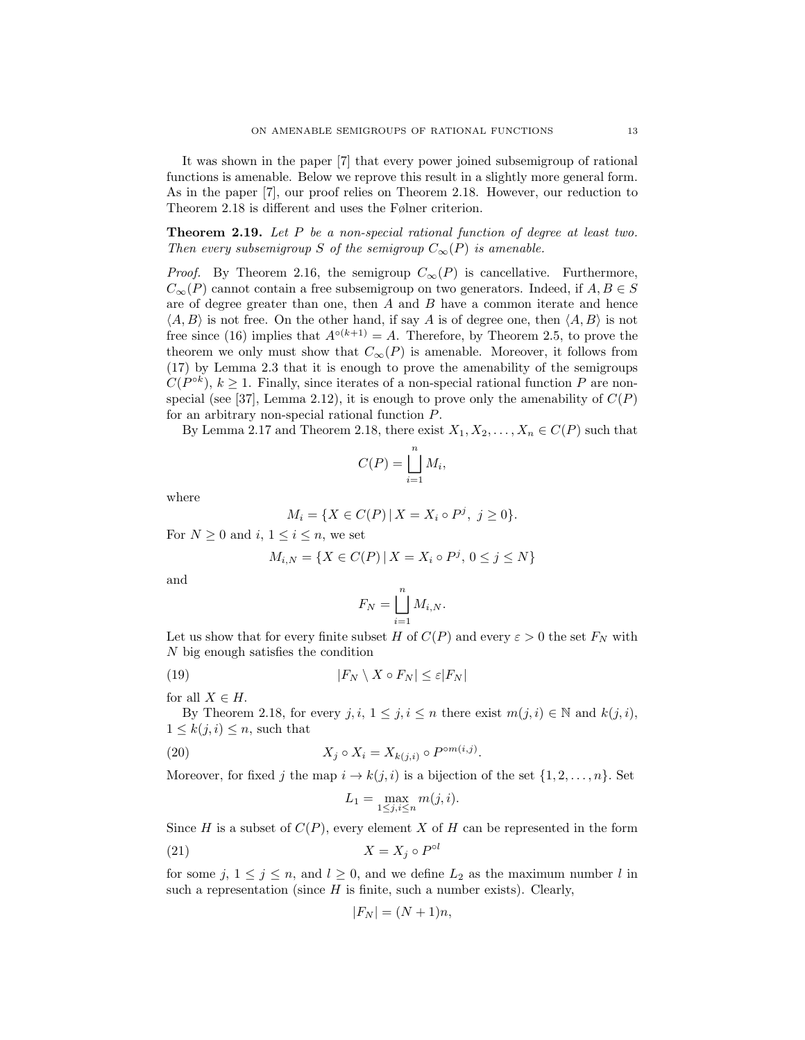It was shown in the paper [7] that every power joined subsemigroup of rational functions is amenable. Below we reprove this result in a slightly more general form. As in the paper [7], our proof relies on Theorem 2.18. However, our reduction to Theorem 2.18 is different and uses the Følner criterion.

Theorem 2.19. Let P be a non-special rational function of degree at least two. Then every subsemigroup S of the semigroup  $C_{\infty}(P)$  is amenable.

*Proof.* By Theorem 2.16, the semigroup  $C_{\infty}(P)$  is cancellative. Furthermore,  $C_{\infty}(P)$  cannot contain a free subsemigroup on two generators. Indeed, if  $A, B \in S$ are of degree greater than one, then  $A$  and  $B$  have a common iterate and hence  $\langle A, B \rangle$  is not free. On the other hand, if say A is of degree one, then  $\langle A, B \rangle$  is not free since (16) implies that  $A^{\circ(k+1)} = A$ . Therefore, by Theorem 2.5, to prove the theorem we only must show that  $C_{\infty}(P)$  is amenable. Moreover, it follows from (17) by Lemma 2.3 that it is enough to prove the amenability of the semigroups  $C(P^{\circ k})$ ,  $k \geq 1$ . Finally, since iterates of a non-special rational function P are nonspecial (see [37], Lemma 2.12), it is enough to prove only the amenability of  $C(P)$ for an arbitrary non-special rational function P.

By Lemma 2.17 and Theorem 2.18, there exist  $X_1, X_2, \ldots, X_n \in C(P)$  such that

$$
C(P) = \bigsqcup_{i=1}^{n} M_i,
$$

where

$$
M_i = \{ X \in C(P) \, | \, X = X_i \circ P^j, \ j \ge 0 \}.
$$

For  $N \geq 0$  and  $i, 1 \leq i \leq n$ , we set

$$
M_{i,N} = \{ X \in C(P) \, | \, X = X_i \circ P^j, \, 0 \le j \le N \}
$$

and

$$
F_N = \bigsqcup_{i=1}^n M_{i,N}.
$$

Let us show that for every finite subset H of  $C(P)$  and every  $\varepsilon > 0$  the set  $F_N$  with N big enough satisfies the condition

(19) 
$$
|F_N \setminus X \circ F_N| \leq \varepsilon |F_N|
$$

for all  $X \in H$ .

By Theorem 2.18, for every  $j, i, 1 \leq j, i \leq n$  there exist  $m(j, i) \in \mathbb{N}$  and  $k(j, i)$ ,  $1 \leq k(j, i) \leq n$ , such that

(20) 
$$
X_j \circ X_i = X_{k(j,i)} \circ P^{\circ m(i,j)}.
$$

Moreover, for fixed j the map  $i \to k(j, i)$  is a bijection of the set  $\{1, 2, \ldots, n\}$ . Set

$$
L_1 = \max_{1 \le j, i \le n} m(j, i).
$$

Since H is a subset of  $C(P)$ , every element X of H can be represented in the form

$$
(21) \t\t X = X_j \circ P^{\circ l}
$$

for some  $j, 1 \leq j \leq n$ , and  $l \geq 0$ , and we define  $L_2$  as the maximum number l in such a representation (since  $H$  is finite, such a number exists). Clearly,

$$
|F_N| = (N+1)n,
$$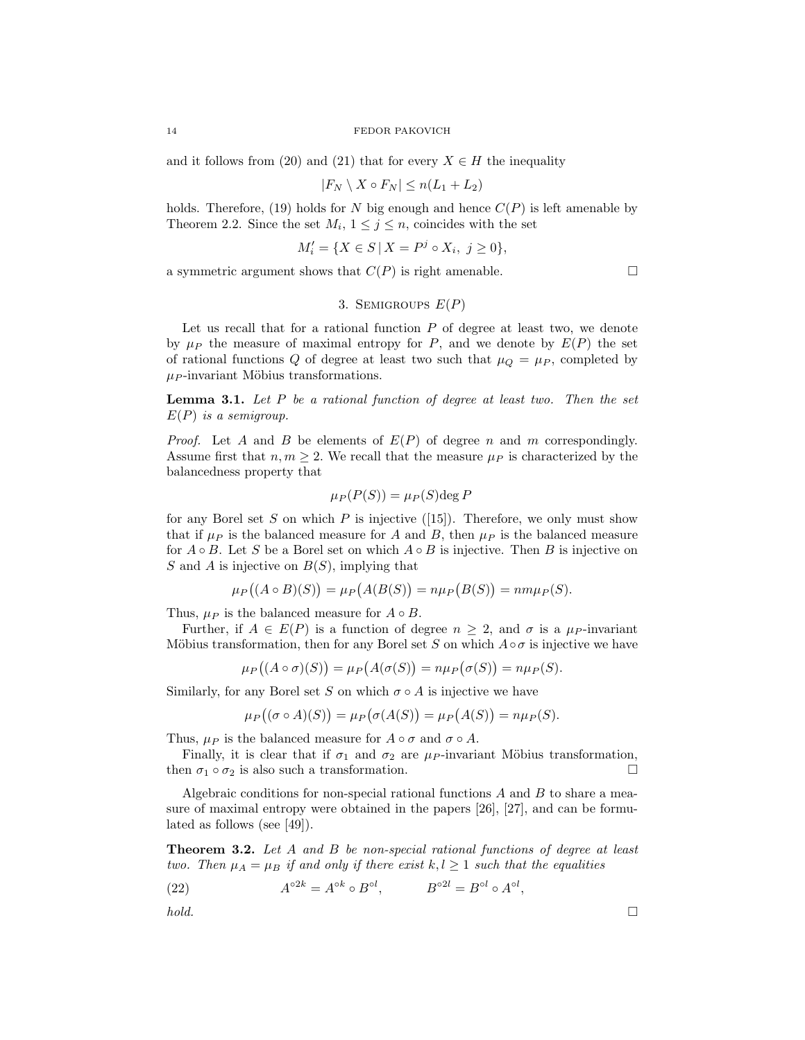and it follows from (20) and (21) that for every  $X \in H$  the inequality

$$
|F_N \setminus X \circ F_N| \le n(L_1 + L_2)
$$

holds. Therefore, (19) holds for N big enough and hence  $C(P)$  is left amenable by Theorem 2.2. Since the set  $M_i$ ,  $1 \leq j \leq n$ , coincides with the set

$$
M'_i = \{ X \in S \, | \, X = P^j \circ X_i, \ j \ge 0 \},
$$

a symmetric argument shows that  $C(P)$  is right amenable.  $\Box$ 

# 3. SEMIGROUPS  $E(P)$

Let us recall that for a rational function  $P$  of degree at least two, we denote by  $\mu_P$  the measure of maximal entropy for P, and we denote by  $E(P)$  the set of rational functions Q of degree at least two such that  $\mu_Q = \mu_P$ , completed by  $\mu_P$ -invariant Möbius transformations.

**Lemma 3.1.** Let  $P$  be a rational function of degree at least two. Then the set  $E(P)$  is a semigroup.

*Proof.* Let A and B be elements of  $E(P)$  of degree n and m correspondingly. Assume first that  $n, m \geq 2$ . We recall that the measure  $\mu_P$  is characterized by the balancedness property that

$$
\mu_P(P(S)) = \mu_P(S) \deg P
$$

for any Borel set S on which P is injective  $(15)$ . Therefore, we only must show that if  $\mu_P$  is the balanced measure for A and B, then  $\mu_P$  is the balanced measure for  $A \circ B$ . Let S be a Borel set on which  $A \circ B$  is injective. Then B is injective on S and A is injective on  $B(S)$ , implying that

$$
\mu_P((A \circ B)(S)) = \mu_P(A(B(S))) = n\mu_P(B(S)) = n m \mu_P(S).
$$

Thus,  $\mu_P$  is the balanced measure for  $A \circ B$ .

 $\mu$ 

Further, if  $A \in E(P)$  is a function of degree  $n \geq 2$ , and  $\sigma$  is a  $\mu_P$ -invariant Möbius transformation, then for any Borel set S on which  $A \circ \sigma$  is injective we have

$$
\iota_P((A \circ \sigma)(S)) = \mu_P(A(\sigma(S)) = n\mu_P(\sigma(S)) = n\mu_P(S).
$$

Similarly, for any Borel set S on which  $\sigma \circ A$  is injective we have

$$
\mu_P((\sigma \circ A)(S)) = \mu_P(\sigma(A(S))) = \mu_P(A(S)) = n\mu_P(S).
$$

Thus,  $\mu_P$  is the balanced measure for  $A \circ \sigma$  and  $\sigma \circ A$ .

Finally, it is clear that if  $\sigma_1$  and  $\sigma_2$  are  $\mu_P$ -invariant Möbius transformation, then  $\sigma_1 \circ \sigma_2$  is also such a transformation.  $\Box$ 

Algebraic conditions for non-special rational functions  $A$  and  $B$  to share a measure of maximal entropy were obtained in the papers [26], [27], and can be formulated as follows (see [49]).

Theorem 3.2. Let A and B be non-special rational functions of degree at least two. Then  $\mu_A = \mu_B$  if and only if there exist  $k, l \geq 1$  such that the equalities

(22) 
$$
A^{\circ 2k} = A^{\circ k} \circ B^{\circ l}, \qquad B^{\circ 2l} = B^{\circ l} \circ A^{\circ l},
$$

 $hold.$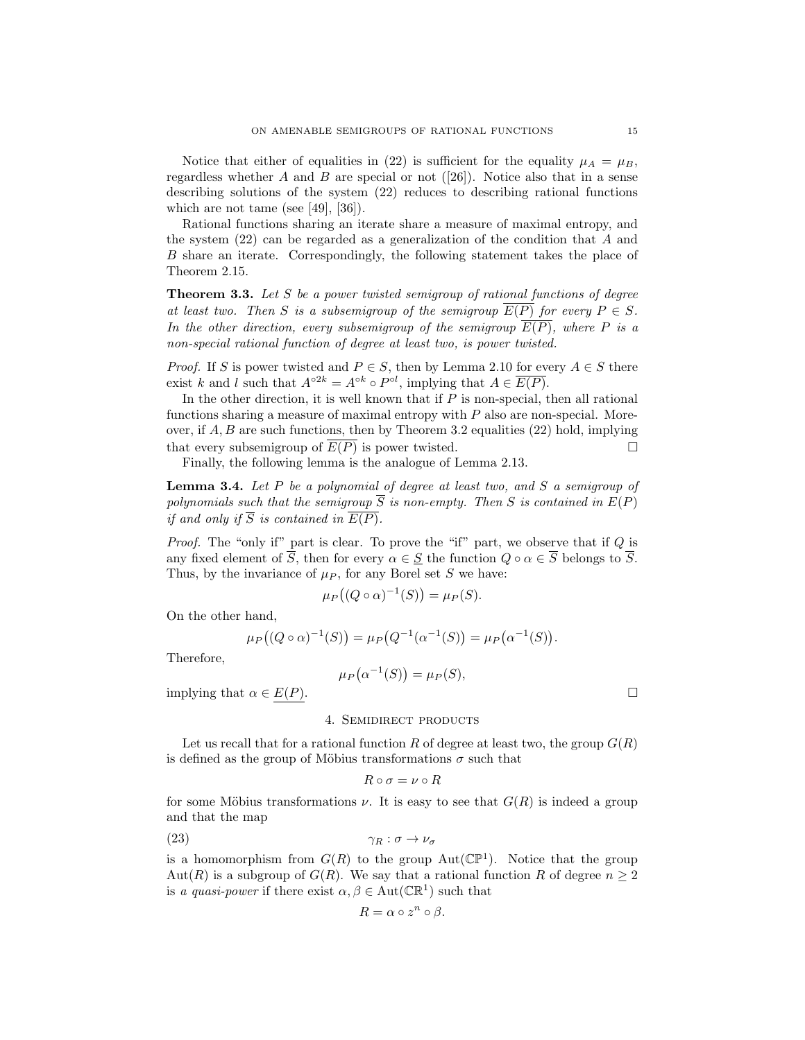Notice that either of equalities in (22) is sufficient for the equality  $\mu_A = \mu_B$ , regardless whether A and B are special or not  $([26])$ . Notice also that in a sense describing solutions of the system (22) reduces to describing rational functions which are not tame (see  $[49]$ ,  $[36]$ ).

Rational functions sharing an iterate share a measure of maximal entropy, and the system  $(22)$  can be regarded as a generalization of the condition that A and B share an iterate. Correspondingly, the following statement takes the place of Theorem 2.15.

**Theorem 3.3.** Let S be a power twisted semigroup of rational functions of degree at least two. Then S is a subsemigroup of the semigroup  $\overline{E(P)}$  for every  $P \in S$ . In the other direction, every subsemigroup of the semigroup  $\overline{E(P)}$ , where P is a non-special rational function of degree at least two, is power twisted.

*Proof.* If S is power twisted and  $P \in S$ , then by Lemma 2.10 for every  $A \in S$  there exist k and l such that  $A^{\circ 2k} = A^{\circ k} \circ P^{\circ l}$ , implying that  $A \in \overline{E(P)}$ .

In the other direction, it is well known that if  $P$  is non-special, then all rational functions sharing a measure of maximal entropy with P also are non-special. Moreover, if  $A, B$  are such functions, then by Theorem 3.2 equalities (22) hold, implying that every subsemigroup of  $\overline{E(P)}$  is power twisted.  $\Box$ 

Finally, the following lemma is the analogue of Lemma 2.13.

**Lemma 3.4.** Let  $P$  be a polynomial of degree at least two, and  $S$  a semigroup of polynomials such that the semigroup  $\overline{S}$  is non-empty. Then S is contained in  $E(P)$ if and only if  $\overline{S}$  is contained in  $\overline{E(P)}$ .

*Proof.* The "only if" part is clear. To prove the "if" part, we observe that if  $Q$  is any fixed element of  $\overline{S}$ , then for every  $\alpha \in S$  the function  $Q \circ \alpha \in \overline{S}$  belongs to  $\overline{S}$ . Thus, by the invariance of  $\mu_P$ , for any Borel set S we have:

$$
\mu_P\big((Q \circ \alpha)^{-1}(S)\big) = \mu_P(S).
$$

On the other hand,

$$
\mu_P((Q \circ \alpha)^{-1}(S)) = \mu_P(Q^{-1}(\alpha^{-1}(S))) = \mu_P(\alpha^{-1}(S)).
$$

Therefore,

$$
\mu_P(\alpha^{-1}(S)) = \mu_P(S),
$$

implying that  $\alpha \in E(P)$ .

## 4. Semidirect products

Let us recall that for a rational function R of degree at least two, the group  $G(R)$ is defined as the group of Möbius transformations  $\sigma$  such that

$$
R \circ \sigma = \nu \circ R
$$

for some Möbius transformations  $\nu$ . It is easy to see that  $G(R)$  is indeed a group and that the map

$$
\gamma_R : \sigma \to \nu_\sigma
$$

is a homomorphism from  $G(R)$  to the group  $Aut(\mathbb{CP}^1)$ . Notice that the group Aut(R) is a subgroup of  $G(R)$ . We say that a rational function R of degree  $n \geq 2$ is a quasi-power if there exist  $\alpha, \beta \in \text{Aut}(\mathbb{CR}^1)$  such that

$$
R = \alpha \circ z^n \circ \beta.
$$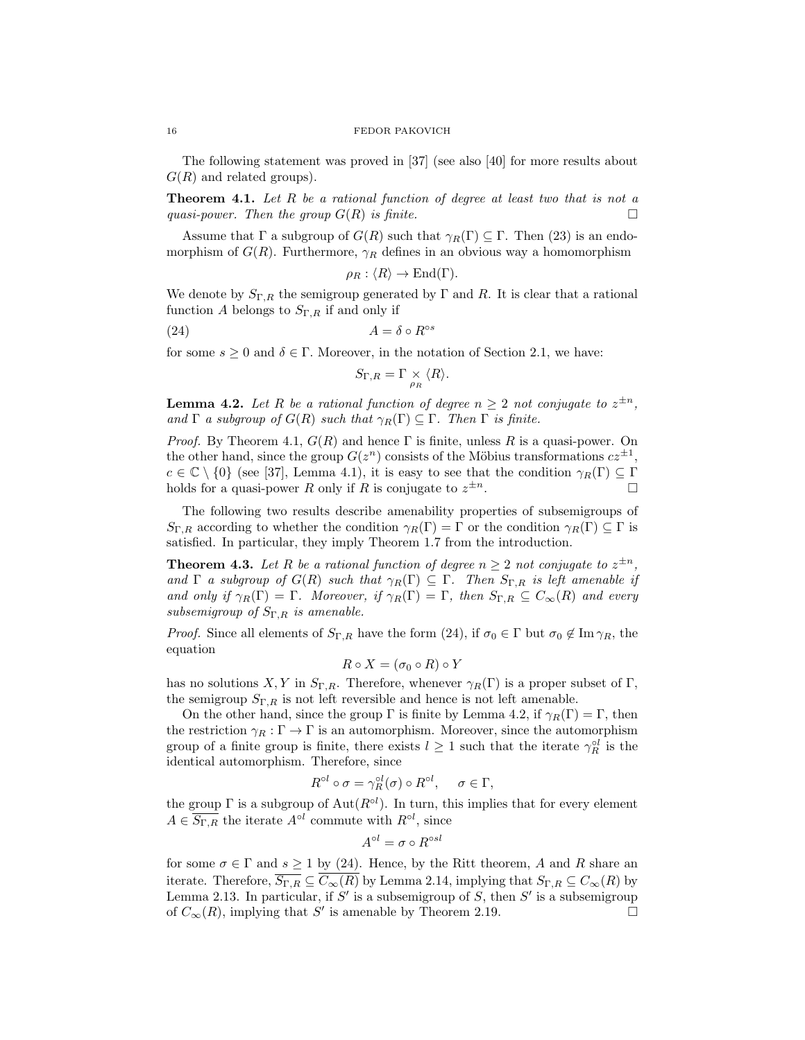The following statement was proved in [37] (see also [40] for more results about  $G(R)$  and related groups).

**Theorem 4.1.** Let  $R$  be a rational function of degree at least two that is not a quasi-power. Then the group  $G(R)$  is finite.  $\Box$ 

Assume that  $\Gamma$  a subgroup of  $G(R)$  such that  $\gamma_R(\Gamma) \subseteq \Gamma$ . Then (23) is an endomorphism of  $G(R)$ . Furthermore,  $\gamma_R$  defines in an obvious way a homomorphism

$$
\rho_R: \langle R \rangle \to \text{End}(\Gamma).
$$

We denote by  $S_{\Gamma,R}$  the semigroup generated by  $\Gamma$  and  $R$ . It is clear that a rational function A belongs to  $S_{\Gamma,R}$  if and only if

$$
(24) \t\t A = \delta \circ R^{\circ s}
$$

for some  $s \geq 0$  and  $\delta \in \Gamma$ . Moreover, in the notation of Section 2.1, we have:

$$
S_{\Gamma,R} = \Gamma \underset{\rho_R}{\times} \langle R \rangle.
$$

**Lemma 4.2.** Let R be a rational function of degree  $n \geq 2$  not conjugate to  $z^{\pm n}$ , and  $\Gamma$  a subgroup of  $G(R)$  such that  $\gamma_R(\Gamma) \subseteq \Gamma$ . Then  $\Gamma$  is finite.

*Proof.* By Theorem 4.1,  $G(R)$  and hence  $\Gamma$  is finite, unless R is a quasi-power. On the other hand, since the group  $G(z^n)$  consists of the Möbius transformations  $cz^{\pm 1}$ ,  $c \in \mathbb{C} \setminus \{0\}$  (see [37], Lemma 4.1), it is easy to see that the condition  $\gamma_R(\Gamma) \subseteq \Gamma$ holds for a quasi-power R only if R is conjugate to  $z^{\pm n}$ .  $\pm n$ .

The following two results describe amenability properties of subsemigroups of  $S_{\Gamma,R}$  according to whether the condition  $\gamma_R(\Gamma) = \Gamma$  or the condition  $\gamma_R(\Gamma) \subseteq \Gamma$  is satisfied. In particular, they imply Theorem 1.7 from the introduction.

**Theorem 4.3.** Let R be a rational function of degree  $n \geq 2$  not conjugate to  $z^{\pm n}$ , and  $\Gamma$  a subgroup of  $G(R)$  such that  $\gamma_R(\Gamma) \subseteq \Gamma$ . Then  $S_{\Gamma,R}$  is left amenable if and only if  $\gamma_R(\Gamma) = \Gamma$ . Moreover, if  $\gamma_R(\Gamma) = \Gamma$ , then  $S_{\Gamma,R} \subseteq C_{\infty}(R)$  and every subsemigroup of  $S_{\Gamma,R}$  is amenable.

*Proof.* Since all elements of  $S_{\Gamma,R}$  have the form (24), if  $\sigma_0 \in \Gamma$  but  $\sigma_0 \notin \text{Im } \gamma_R$ , the equation

$$
R \circ X = (\sigma_0 \circ R) \circ Y
$$

has no solutions X, Y in  $S_{\Gamma,R}$ . Therefore, whenever  $\gamma_R(\Gamma)$  is a proper subset of  $\Gamma$ , the semigroup  $S_{\Gamma,R}$  is not left reversible and hence is not left amenable.

On the other hand, since the group  $\Gamma$  is finite by Lemma 4.2, if  $\gamma_R(\Gamma) = \Gamma$ , then the restriction  $\gamma_R : \Gamma \to \Gamma$  is an automorphism. Moreover, since the automorphism group of a finite group is finite, there exists  $l \geq 1$  such that the iterate  $\gamma_R^{ol}$  is the identical automorphism. Therefore, since

$$
R^{\circ l} \circ \sigma = \gamma_R^{\circ l}(\sigma) \circ R^{\circ l}, \quad \sigma \in \Gamma,
$$

R

the group  $\Gamma$  is a subgroup of  $\text{Aut}(R^{\text{ol}})$ . In turn, this implies that for every element  $A \in \overline{S_{\Gamma,R}}$  the iterate  $A^{\circ l}$  commute with  $R^{\circ l}$ , since

$$
A^{\circ l} = \sigma \circ R^{\circ sl}
$$

for some  $\sigma \in \Gamma$  and  $s \ge 1$  by (24). Hence, by the Ritt theorem, A and R share an iterate. Therefore,  $\overline{S_{\Gamma,R}} \subseteq \overline{C_{\infty}(R)}$  by Lemma 2.14, implying that  $S_{\Gamma,R} \subseteq C_{\infty}(R)$  by Lemma 2.13. In particular, if  $S'$  is a subsemigroup of  $S$ , then  $S'$  is a subsemigroup of  $C_{\infty}(R)$ , implying that S' is amenable by Theorem 2.19.

$$
16 \\
$$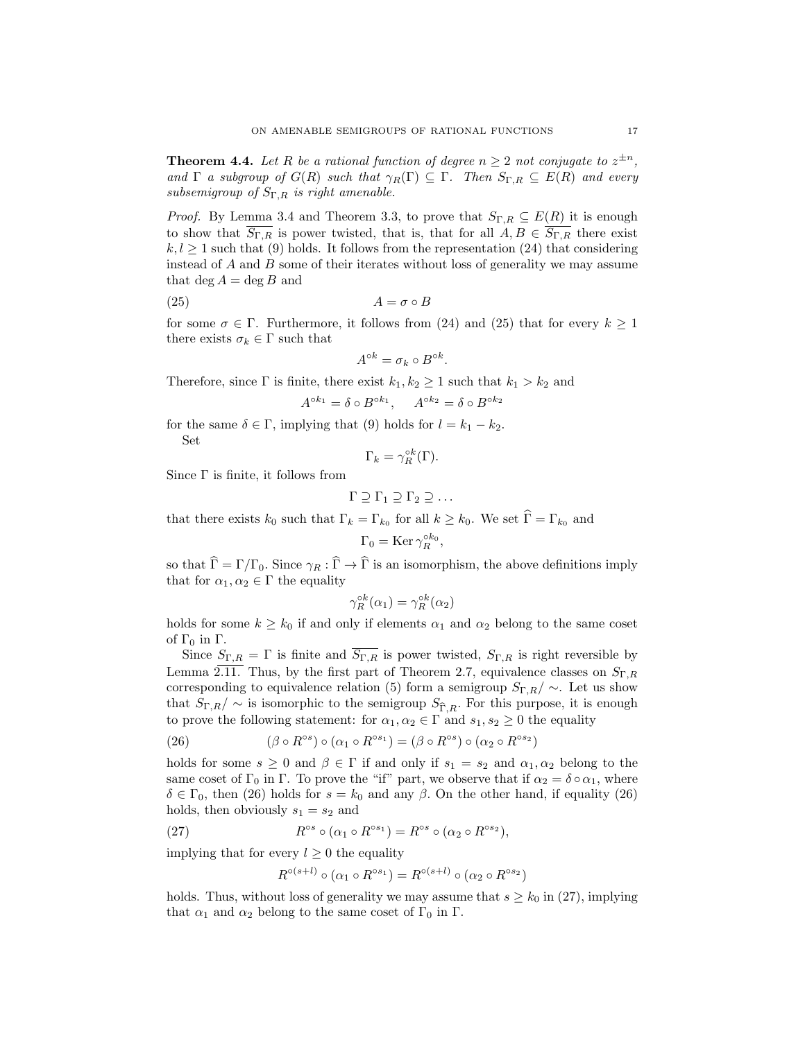**Theorem 4.4.** Let R be a rational function of degree  $n \geq 2$  not conjugate to  $z^{\pm n}$ , and  $\Gamma$  a subgroup of  $G(R)$  such that  $\gamma_R(\Gamma) \subseteq \Gamma$ . Then  $S_{\Gamma,R} \subseteq E(R)$  and every subsemigroup of  $S_{\Gamma,R}$  is right amenable.

*Proof.* By Lemma 3.4 and Theorem 3.3, to prove that  $S_{\Gamma,R} \subseteq E(R)$  it is enough to show that  $\overline{S_{\Gamma,R}}$  is power twisted, that is, that for all  $A, B \in \overline{S_{\Gamma,R}}$  there exist  $k, l \geq 1$  such that (9) holds. It follows from the representation (24) that considering instead of  $A$  and  $B$  some of their iterates without loss of generality we may assume that deg  $A = \deg B$  and

$$
(25) \t\t\t A = \sigma \circ B
$$

for some  $\sigma \in \Gamma$ . Furthermore, it follows from (24) and (25) that for every  $k \geq 1$ there exists  $\sigma_k \in \Gamma$  such that

$$
A^{\circ k} = \sigma_k \circ B^{\circ k}.
$$

Therefore, since  $\Gamma$  is finite, there exist  $k_1, k_2 \geq 1$  such that  $k_1 > k_2$  and

$$
A^{\circ k_1} = \delta \circ B^{\circ k_1}, \quad A^{\circ k_2} = \delta \circ B^{\circ k_2}
$$

for the same  $\delta \in \Gamma$ , implying that (9) holds for  $l = k_1 - k_2$ . Set

$$
\Gamma_k = \gamma_R^{\circ k}(\Gamma).
$$

Since  $\Gamma$  is finite, it follows from

$$
\Gamma \supseteq \Gamma_1 \supseteq \Gamma_2 \supseteq \dots
$$

that there exists  $k_0$  such that  $\Gamma_k = \Gamma_{k_0}$  for all  $k \geq k_0$ . We set  $\Gamma = \Gamma_{k_0}$  and

$$
\Gamma_0 = \operatorname{Ker} \gamma_R^{\circ k_0},
$$

so that  $\hat{\Gamma} = \Gamma / \Gamma_0$ . Since  $\gamma_R : \hat{\Gamma} \to \hat{\Gamma}$  is an isomorphism, the above definitions imply that for  $\alpha_1, \alpha_2 \in \Gamma$  the equality

$$
\gamma_R^{\circ k}(\alpha_1) = \gamma_R^{\circ k}(\alpha_2)
$$

holds for some  $k \geq k_0$  if and only if elements  $\alpha_1$  and  $\alpha_2$  belong to the same coset of  $\Gamma_0$  in  $\Gamma$ .

Since  $S_{\Gamma,R} = \Gamma$  is finite and  $\overline{S_{\Gamma,R}}$  is power twisted,  $S_{\Gamma,R}$  is right reversible by Lemma  $2.\overline{11}$ . Thus, by the first part of Theorem 2.7, equivalence classes on  $S_{\Gamma,R}$ corresponding to equivalence relation (5) form a semigroup  $S_{\Gamma,R}/\sim$ . Let us show that  $S_{\Gamma,R}/\sim$  is isomorphic to the semigroup  $S_{\widehat{\Gamma},R}$ . For this purpose, it is enough to prove the following statement: for  $\alpha_1, \alpha_2 \in \Gamma$  and  $s_1, s_2 \geq 0$  the equality

(26) 
$$
(\beta \circ R^{\circ s}) \circ (\alpha_1 \circ R^{\circ s_1}) = (\beta \circ R^{\circ s}) \circ (\alpha_2 \circ R^{\circ s_2})
$$

holds for some  $s \geq 0$  and  $\beta \in \Gamma$  if and only if  $s_1 = s_2$  and  $\alpha_1, \alpha_2$  belong to the same coset of  $\Gamma_0$  in  $\Gamma$ . To prove the "if" part, we observe that if  $\alpha_2 = \delta \circ \alpha_1$ , where  $\delta \in \Gamma_0$ , then (26) holds for  $s = k_0$  and any  $\beta$ . On the other hand, if equality (26) holds, then obviously  $s_1 = s_2$  and

(27) 
$$
R^{\circ s} \circ (\alpha_1 \circ R^{\circ s_1}) = R^{\circ s} \circ (\alpha_2 \circ R^{\circ s_2}),
$$

implying that for every  $l \geq 0$  the equality

$$
R^{\circ (s+l)} \circ (\alpha_1 \circ R^{\circ s_1}) = R^{\circ (s+l)} \circ (\alpha_2 \circ R^{\circ s_2})
$$

holds. Thus, without loss of generality we may assume that  $s \geq k_0$  in (27), implying that  $\alpha_1$  and  $\alpha_2$  belong to the same coset of  $\Gamma_0$  in  $\Gamma$ .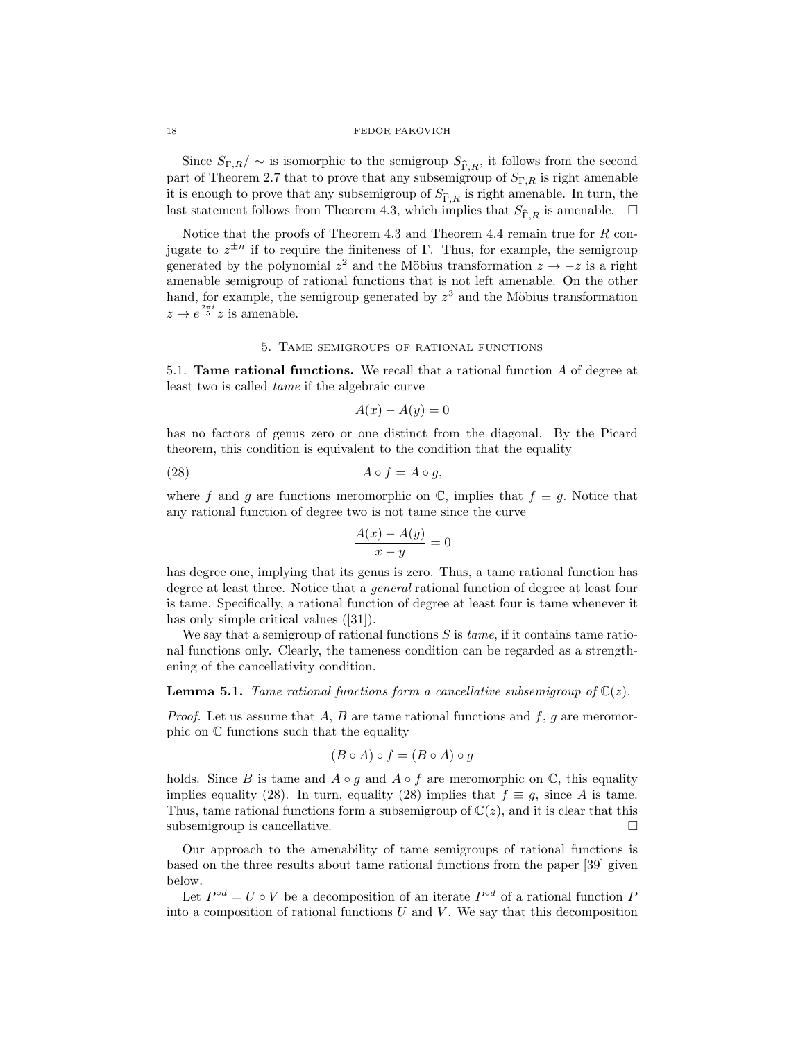Since  $S_{\Gamma,R}/\sim$  is isomorphic to the semigroup  $S_{\widehat{\Gamma},R}$ , it follows from the second part of Theorem 2.7 that to prove that any subsemigroup of  $S_{\Gamma,R}$  is right amenable it is enough to prove that any subsemigroup of  $S_{\widehat{\Gamma},R}$  is right amenable. In turn, the last statement follows from Theorem 4.3, which implies that  $S_{\widehat{\Gamma},R}$  is amenable.  $\Box$ 

Notice that the proofs of Theorem 4.3 and Theorem 4.4 remain true for R conjugate to  $z^{\pm n}$  if to require the finiteness of Γ. Thus, for example, the semigroup generated by the polynomial  $z^2$  and the Möbius transformation  $z \to -z$  is a right amenable semigroup of rational functions that is not left amenable. On the other hand, for example, the semigroup generated by  $z<sup>3</sup>$  and the Möbius transformation  $z \to e^{\frac{2\pi i}{5}} z$  is amenable.

# 5. Tame semigroups of rational functions

5.1. Tame rational functions. We recall that a rational function A of degree at least two is called tame if the algebraic curve

$$
A(x) - A(y) = 0
$$

has no factors of genus zero or one distinct from the diagonal. By the Picard theorem, this condition is equivalent to the condition that the equality

$$
(28) \t\t A \circ f = A \circ g,
$$

where f and g are functions meromorphic on  $\mathbb{C}$ , implies that  $f \equiv g$ . Notice that any rational function of degree two is not tame since the curve

$$
\frac{A(x) - A(y)}{x - y} = 0
$$

has degree one, implying that its genus is zero. Thus, a tame rational function has degree at least three. Notice that a general rational function of degree at least four is tame. Specifically, a rational function of degree at least four is tame whenever it has only simple critical values ([31]).

We say that a semigroup of rational functions  $S$  is  $tame$ , if it contains tame rational functions only. Clearly, the tameness condition can be regarded as a strengthening of the cancellativity condition.

**Lemma 5.1.** Tame rational functions form a cancellative subsemigroup of  $\mathbb{C}(z)$ .

*Proof.* Let us assume that A, B are tame rational functions and f, g are meromorphic on C functions such that the equality

$$
(B \circ A) \circ f = (B \circ A) \circ g
$$

holds. Since B is tame and  $A \circ q$  and  $A \circ f$  are meromorphic on  $\mathbb{C}$ , this equality implies equality (28). In turn, equality (28) implies that  $f \equiv g$ , since A is tame. Thus, tame rational functions form a subsemigroup of  $\mathbb{C}(z)$ , and it is clear that this subsemigroup is cancellative.  $\Box$ 

Our approach to the amenability of tame semigroups of rational functions is based on the three results about tame rational functions from the paper [39] given below.

Let  $P^{\circ d} = U \circ V$  be a decomposition of an iterate  $P^{\circ d}$  of a rational function P into a composition of rational functions  $U$  and  $V$ . We say that this decomposition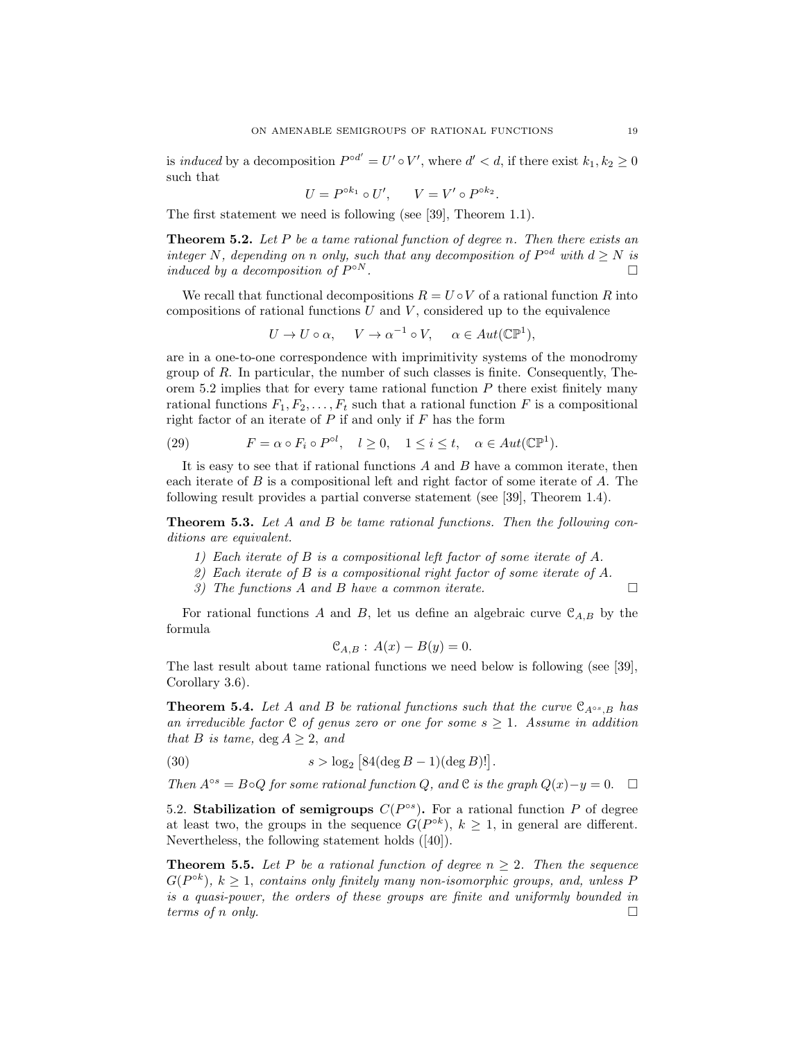is *induced* by a decomposition  $P^{\circ d'} = U' \circ V'$ , where  $d' < d$ , if there exist  $k_1, k_2 \ge 0$ such that

$$
U = P^{\circ k_1} \circ U', \qquad V = V' \circ P^{\circ k_2}.
$$

The first statement we need is following (see [39], Theorem 1.1).

**Theorem 5.2.** Let  $P$  be a tame rational function of degree n. Then there exists an integer N, depending on n only, such that any decomposition of  $P^{od}$  with  $d \geq N$  is induced by a decomposition of  $P^{\circ N}$ .  $\circ N$  .

We recall that functional decompositions  $R = U \circ V$  of a rational function R into compositions of rational functions  $U$  and  $V$ , considered up to the equivalence

$$
U \to U \circ \alpha, \quad V \to \alpha^{-1} \circ V, \quad \alpha \in Aut(\mathbb{CP}^1),
$$

are in a one-to-one correspondence with imprimitivity systems of the monodromy group of  $R$ . In particular, the number of such classes is finite. Consequently, Theorem 5.2 implies that for every tame rational function  $P$  there exist finitely many rational functions  $F_1, F_2, \ldots, F_t$  such that a rational function F is a compositional right factor of an iterate of  $P$  if and only if  $F$  has the form

(29) 
$$
F = \alpha \circ F_i \circ P^{\circ l}, \quad l \ge 0, \quad 1 \le i \le t, \quad \alpha \in Aut(\mathbb{CP}^1).
$$

It is easy to see that if rational functions  $A$  and  $B$  have a common iterate, then each iterate of B is a compositional left and right factor of some iterate of A. The following result provides a partial converse statement (see [39], Theorem 1.4).

**Theorem 5.3.** Let A and B be tame rational functions. Then the following conditions are equivalent.

- 1) Each iterate of B is a compositional left factor of some iterate of A.
- 2) Each iterate of B is a compositional right factor of some iterate of A.
- 3) The functions A and B have a common iterate.  $\Box$

For rational functions A and B, let us define an algebraic curve  $\mathcal{C}_{A,B}$  by the formula

$$
\mathcal{C}_{A,B}: A(x) - B(y) = 0.
$$

The last result about tame rational functions we need below is following (see [39], Corollary 3.6).

**Theorem 5.4.** Let A and B be rational functions such that the curve  $\mathcal{C}_{A^{\circ s},B}$  has an irreducible factor  $C$  of genus zero or one for some  $s \geq 1$ . Assume in addition that B is tame,  $\deg A > 2$ , and

(30) 
$$
s > log_2 [84(log B - 1)(deg B)!].
$$

Then  $A^{\circ s} = B \circ Q$  for some rational function Q, and C is the graph  $Q(x)-y=0$ . □

5.2. Stabilization of semigroups  $C(P^{\circ s})$ . For a rational function P of degree at least two, the groups in the sequence  $G(P^{ok})$ ,  $k \geq 1$ , in general are different. Nevertheless, the following statement holds ([40]).

**Theorem 5.5.** Let P be a rational function of degree  $n \geq 2$ . Then the sequence  $G(P^{ok})$ ,  $k \geq 1$ , contains only finitely many non-isomorphic groups, and, unless P is a quasi-power, the orders of these groups are finite and uniformly bounded in terms of n only.  $\square$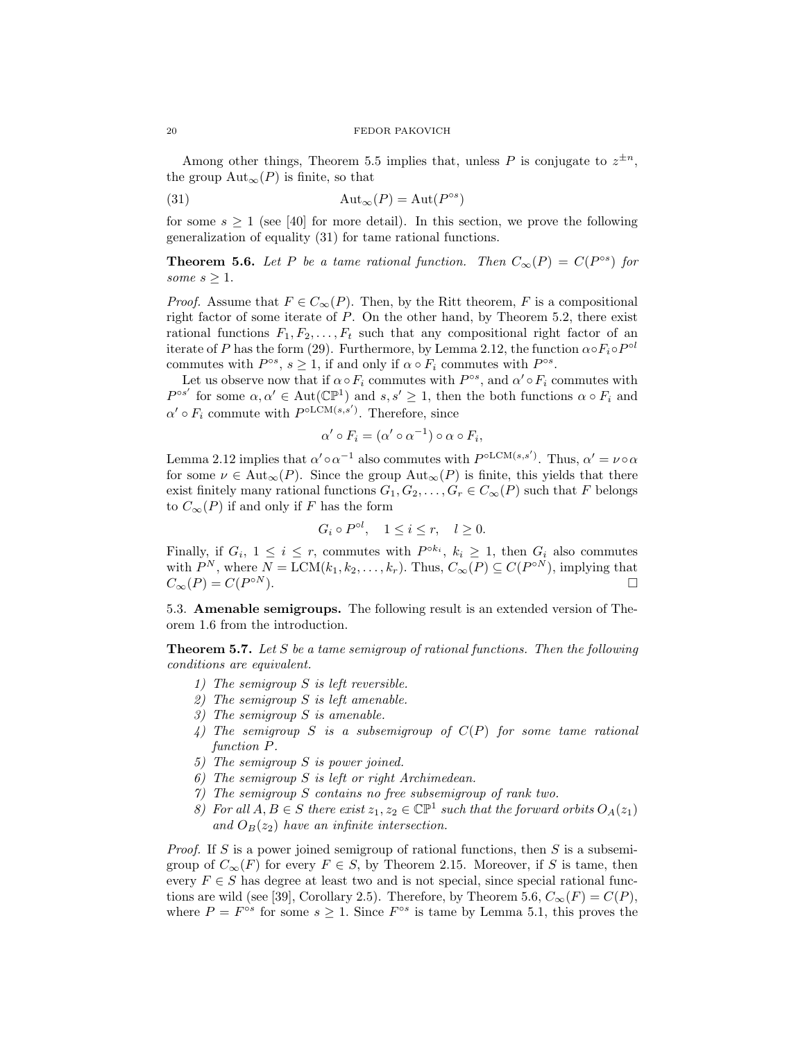Among other things, Theorem 5.5 implies that, unless P is conjugate to  $z^{\pm n}$ , the group  $\text{Aut}_{\infty}(P)$  is finite, so that

(31) 
$$
Aut_{\infty}(P) = Aut(P^{\circ s})
$$

for some  $s \geq 1$  (see [40] for more detail). In this section, we prove the following generalization of equality (31) for tame rational functions.

**Theorem 5.6.** Let P be a tame rational function. Then  $C_{\infty}(P) = C(P^{\circ s})$  for some  $s \geq 1$ .

*Proof.* Assume that  $F \in C_{\infty}(P)$ . Then, by the Ritt theorem, F is a compositional right factor of some iterate of P. On the other hand, by Theorem 5.2, there exist rational functions  $F_1, F_2, \ldots, F_t$  such that any compositional right factor of an iterate of P has the form (29). Furthermore, by Lemma 2.12, the function  $\alpha \circ F_i \circ P^{\circ l}$ commutes with  $P^{\circ s}$ ,  $s \geq 1$ , if and only if  $\alpha \circ F_i$  commutes with  $P^{\circ s}$ .

Let us observe now that if  $\alpha \circ F_i$  commutes with  $P^{\circ s}$ , and  $\alpha' \circ F_i$  commutes with  $P^{\circ s'}$  for some  $\alpha, \alpha' \in \text{Aut}(\mathbb{CP}^1)$  and  $s, s' \geq 1$ , then the both functions  $\alpha \circ F_i$  and  $\alpha' \circ F_i$  commute with  $P^{oLCM(s,s')}$ . Therefore, since

$$
\alpha' \circ F_i = (\alpha' \circ \alpha^{-1}) \circ \alpha \circ F_i,
$$

Lemma 2.12 implies that  $\alpha' \circ \alpha^{-1}$  also commutes with  $P^{\circ LCM(s,s')}$ . Thus,  $\alpha' = \nu \circ \alpha$ for some  $\nu \in \text{Aut}_{\infty}(P)$ . Since the group  $\text{Aut}_{\infty}(P)$  is finite, this yields that there exist finitely many rational functions  $G_1, G_2, \ldots, G_r \in C_{\infty}(P)$  such that F belongs to  $C_{\infty}(P)$  if and only if F has the form

$$
G_i \circ P^{\circ l}, \quad 1 \le i \le r, \quad l \ge 0.
$$

Finally, if  $G_i$ ,  $1 \leq i \leq r$ , commutes with  $P^{\circ k_i}$ ,  $k_i \geq 1$ , then  $G_i$  also commutes with  $P^N$ , where  $N = \text{LCM}(k_1, k_2, \ldots, k_r)$ . Thus,  $C_{\infty}(P) \subseteq C(P^{\circ N})$ , implying that  $C_{\infty}(P) = C(P^{\circ N}).$  $\circ N$ ).

5.3. Amenable semigroups. The following result is an extended version of Theorem 1.6 from the introduction.

**Theorem 5.7.** Let S be a tame semigroup of rational functions. Then the following conditions are equivalent.

- 1) The semigroup S is left reversible.
- 2) The semigroup S is left amenable.
- 3) The semigroup S is amenable.
- 4) The semigroup S is a subsemigroup of  $C(P)$  for some tame rational function P.
- 5) The semigroup S is power joined.
- 6) The semigroup S is left or right Archimedean.
- 7) The semigroup S contains no free subsemigroup of rank two.
- 8) For all  $A, B \in S$  there exist  $z_1, z_2 \in \mathbb{CP}^1$  such that the forward orbits  $O_A(z_1)$ and  $O_B(z_2)$  have an infinite intersection.

Proof. If S is a power joined semigroup of rational functions, then S is a subsemigroup of  $C_{\infty}(F)$  for every  $F \in S$ , by Theorem 2.15. Moreover, if S is tame, then every  $F \in S$  has degree at least two and is not special, since special rational functions are wild (see [39], Corollary 2.5). Therefore, by Theorem 5.6,  $C_{\infty}(F) = C(P)$ , where  $P = F^{\circ s}$  for some  $s \geq 1$ . Since  $F^{\circ s}$  is tame by Lemma 5.1, this proves the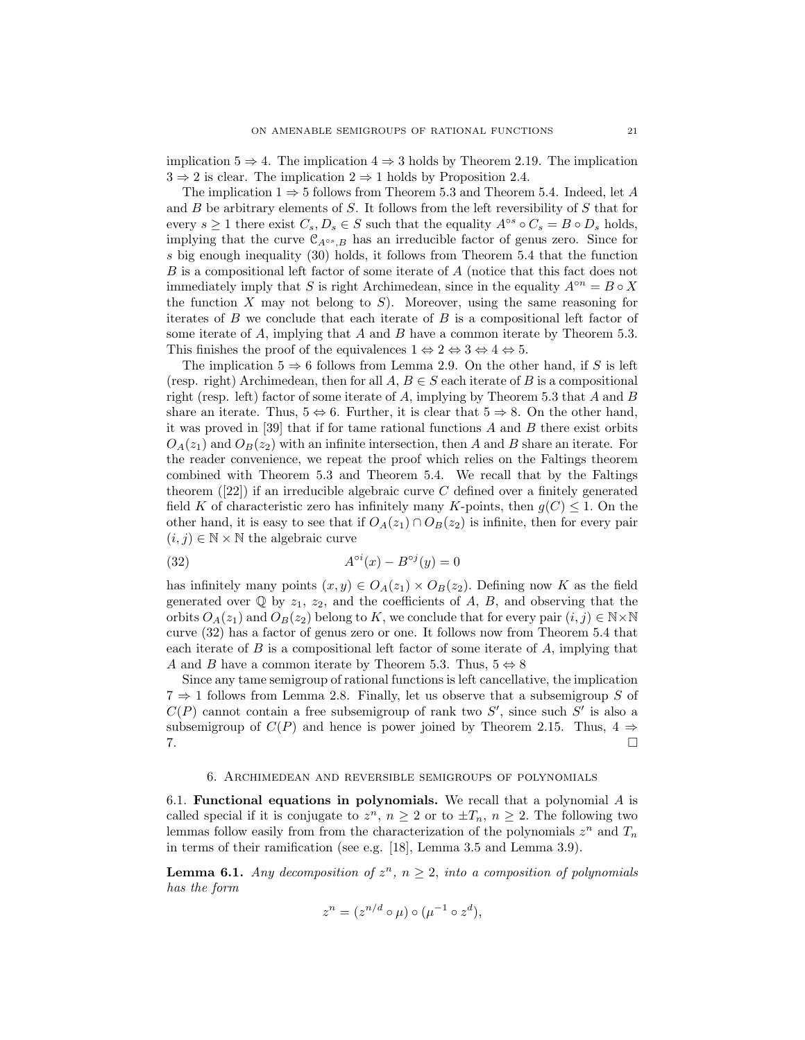implication  $5 \Rightarrow 4$ . The implication  $4 \Rightarrow 3$  holds by Theorem 2.19. The implication  $3 \Rightarrow 2$  is clear. The implication  $2 \Rightarrow 1$  holds by Proposition 2.4.

The implication  $1 \Rightarrow 5$  follows from Theorem 5.3 and Theorem 5.4. Indeed, let A and  $B$  be arbitrary elements of  $S$ . It follows from the left reversibility of  $S$  that for every  $s \ge 1$  there exist  $C_s, D_s \in S$  such that the equality  $A^{\circ s} \circ C_s = B \circ D_s$  holds, implying that the curve  $\mathcal{C}_{A^{\circ s},B}$  has an irreducible factor of genus zero. Since for s big enough inequality (30) holds, it follows from Theorem 5.4 that the function B is a compositional left factor of some iterate of A (notice that this fact does not immediately imply that S is right Archimedean, since in the equality  $A^{\circ n} = B \circ X$ the function  $X$  may not belong to  $S$ ). Moreover, using the same reasoning for iterates of  $B$  we conclude that each iterate of  $B$  is a compositional left factor of some iterate of  $A$ , implying that  $A$  and  $B$  have a common iterate by Theorem 5.3. This finishes the proof of the equivalences  $1 \Leftrightarrow 2 \Leftrightarrow 3 \Leftrightarrow 4 \Leftrightarrow 5$ .

The implication  $5 \Rightarrow 6$  follows from Lemma 2.9. On the other hand, if S is left (resp. right) Archimedean, then for all  $A, B \in S$  each iterate of B is a compositional right (resp. left) factor of some iterate of  $A$ , implying by Theorem 5.3 that  $A$  and  $B$ share an iterate. Thus,  $5 \Leftrightarrow 6$ . Further, it is clear that  $5 \Rightarrow 8$ . On the other hand, it was proved in [39] that if for tame rational functions  $A$  and  $B$  there exist orbits  $O_A(z_1)$  and  $O_B(z_2)$  with an infinite intersection, then A and B share an iterate. For the reader convenience, we repeat the proof which relies on the Faltings theorem combined with Theorem 5.3 and Theorem 5.4. We recall that by the Faltings theorem  $(22)$  if an irreducible algebraic curve C defined over a finitely generated field K of characteristic zero has infinitely many K-points, then  $g(C) \leq 1$ . On the other hand, it is easy to see that if  $O_A(z_1) \cap O_B(z_2)$  is infinite, then for every pair  $(i, j) \in \mathbb{N} \times \mathbb{N}$  the algebraic curve

$$
(32)\qquad \qquad A^{\circ i}(x) - B^{\circ j}(y) = 0
$$

has infinitely many points  $(x, y) \in O_A(z_1) \times O_B(z_2)$ . Defining now K as the field generated over  $\mathbb Q$  by  $z_1, z_2$ , and the coefficients of A, B, and observing that the orbits  $O_A(z_1)$  and  $O_B(z_2)$  belong to K, we conclude that for every pair  $(i, j) \in \mathbb{N} \times \mathbb{N}$ curve (32) has a factor of genus zero or one. It follows now from Theorem 5.4 that each iterate of  $B$  is a compositional left factor of some iterate of  $A$ , implying that A and B have a common iterate by Theorem 5.3. Thus,  $5 \Leftrightarrow 8$ 

Since any tame semigroup of rational functions is left cancellative, the implication  $7 \Rightarrow 1$  follows from Lemma 2.8. Finally, let us observe that a subsemigroup S of  $C(P)$  cannot contain a free subsemigroup of rank two  $S'$ , since such  $S'$  is also a subsemigroup of  $C(P)$  and hence is power joined by Theorem 2.15. Thus,  $4 \Rightarrow$ 7. □

# 6. Archimedean and reversible semigroups of polynomials

6.1. Functional equations in polynomials. We recall that a polynomial  $A$  is called special if it is conjugate to  $z^n$ ,  $n \geq 2$  or to  $\pm T_n$ ,  $n \geq 2$ . The following two lemmas follow easily from from the characterization of the polynomials  $z^n$  and  $T_n$ in terms of their ramification (see e.g. [18], Lemma 3.5 and Lemma 3.9).

**Lemma 6.1.** Any decomposition of  $z^n$ ,  $n \geq 2$ , into a composition of polynomials has the form

$$
z^n = (z^{n/d} \circ \mu) \circ (\mu^{-1} \circ z^d),
$$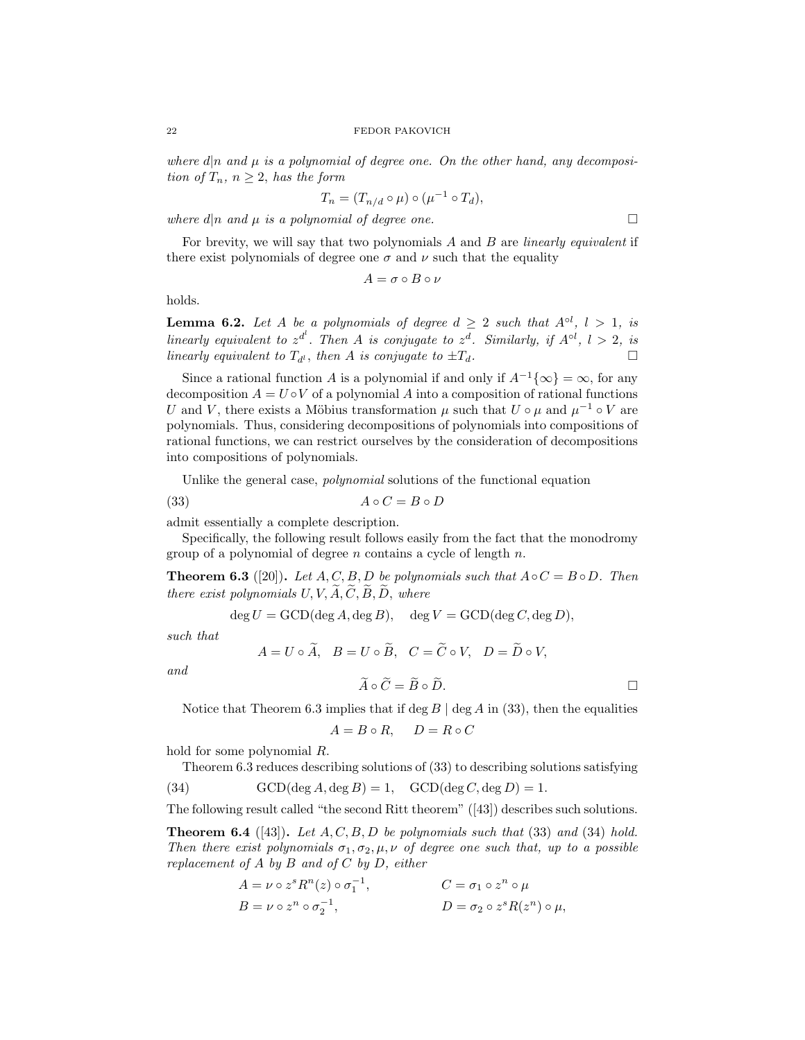where  $d|n$  and  $\mu$  is a polynomial of degree one. On the other hand, any decomposition of  $T_n$ ,  $n \geq 2$ , has the form

$$
T_n = (T_{n/d} \circ \mu) \circ (\mu^{-1} \circ T_d),
$$

where  $d|n$  and  $\mu$  is a polynomial of degree one.

For brevity, we will say that two polynomials A and B are *linearly equivalent* if there exist polynomials of degree one  $\sigma$  and  $\nu$  such that the equality

$$
A = \sigma \circ B \circ \nu
$$

holds.

**Lemma 6.2.** Let A be a polynomials of degree  $d \geq 2$  such that  $A^{\circ l}$ ,  $l > 1$ , is linearly equivalent to  $z^{d}$ . Then A is conjugate to  $z^{d}$ . Similarly, if  $A^{\circ l}$ ,  $l > 2$ , is linearly equivalent to  $T_{d}$ , then A is conjugate to  $\pm T_d$ .

Since a rational function A is a polynomial if and only if  $A^{-1}{\lbrace \infty \rbrace} = \infty$ , for any decomposition  $A = U \circ V$  of a polynomial A into a composition of rational functions U and V, there exists a Möbius transformation  $\mu$  such that  $U \circ \mu$  and  $\mu^{-1} \circ V$  are polynomials. Thus, considering decompositions of polynomials into compositions of rational functions, we can restrict ourselves by the consideration of decompositions into compositions of polynomials.

Unlike the general case, *polynomial* solutions of the functional equation

$$
(33) \t\t\t A \circ C = B \circ D
$$

admit essentially a complete description.

Specifically, the following result follows easily from the fact that the monodromy group of a polynomial of degree  $n$  contains a cycle of length  $n$ .

**Theorem 6.3** ([20]). Let  $A, C, B, D$  be polynomials such that  $A \circ C = B \circ D$ . Then there exist polynomials  $U, V, \widetilde{A}, \widetilde{C}, \widetilde{B}, \widetilde{D}$ , where

$$
\deg U = \text{GCD}(\deg A, \deg B), \quad \deg V = \text{GCD}(\deg C, \deg D),
$$

such that

 $A = U \circ \widetilde{A}, B = U \circ \widetilde{B}, C = \widetilde{C} \circ V, D = \widetilde{D} \circ V.$ 

and

$$
\widetilde{A} \circ \widetilde{C} = \widetilde{B} \circ \widetilde{D}.
$$

Notice that Theorem 6.3 implies that if deg  $B \mid \text{deg } A$  in (33), then the equalities

$$
A = B \circ R, \quad D = R \circ C
$$

hold for some polynomial R.

Theorem 6.3 reduces describing solutions of (33) to describing solutions satisfying

(34) 
$$
GCD(\deg A, \deg B) = 1, \quad GCD(\deg C, \deg D) = 1.
$$

The following result called "the second Ritt theorem" ([43]) describes such solutions.

**Theorem 6.4** ([43]). Let  $A, C, B, D$  be polynomials such that (33) and (34) hold. Then there exist polynomials  $\sigma_1, \sigma_2, \mu, \nu$  of degree one such that, up to a possible replacement of A by B and of C by D, either

$$
A = \nu \circ z^s R^n(z) \circ \sigma_1^{-1},
$$
  
\n
$$
B = \nu \circ z^n \circ \sigma_2^{-1},
$$
  
\n
$$
D = \sigma_2 \circ z^s R(z^n) \circ \mu,
$$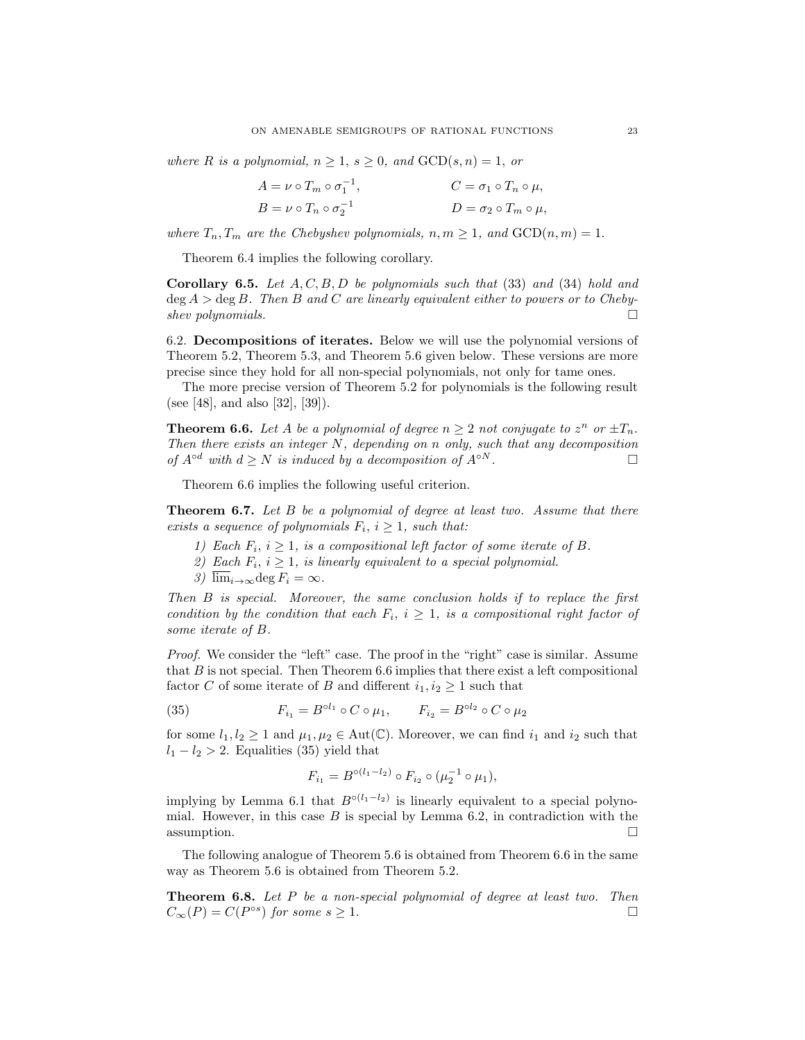where R is a polynomial,  $n \geq 1$ ,  $s \geq 0$ , and  $GCD(s, n) = 1$ , or

$$
A = \nu \circ T_m \circ \sigma_1^{-1},
$$
  
\n
$$
B = \nu \circ T_n \circ \sigma_2^{-1}
$$
  
\n
$$
C = \sigma_1 \circ T_n \circ \mu,
$$
  
\n
$$
D = \sigma_2 \circ T_m \circ \mu,
$$

where  $T_n, T_m$  are the Chebyshev polynomials,  $n, m \ge 1$ , and  $GCD(n, m) = 1$ .

Theorem 6.4 implies the following corollary.

**Corollary 6.5.** Let  $A, C, B, D$  be polynomials such that  $(33)$  and  $(34)$  hold and  $\deg A > \deg B$ . Then B and C are linearly equivalent either to powers or to Chebyshev polynomials.  $\Box$ 

6.2. Decompositions of iterates. Below we will use the polynomial versions of Theorem 5.2, Theorem 5.3, and Theorem 5.6 given below. These versions are more precise since they hold for all non-special polynomials, not only for tame ones.

The more precise version of Theorem 5.2 for polynomials is the following result (see [48], and also [32], [39]).

**Theorem 6.6.** Let A be a polynomial of degree  $n \geq 2$  not conjugate to  $z^n$  or  $\pm T_n$ . Then there exists an integer N, depending on n only, such that any decomposition of  $A^{\circ d}$  with  $d \geq N$  is induced by a decomposition of  $A^{\circ N}$ .

Theorem 6.6 implies the following useful criterion.

**Theorem 6.7.** Let  $B$  be a polynomial of degree at least two. Assume that there exists a sequence of polynomials  $F_i$ ,  $i \geq 1$ , such that:

- 1) Each  $F_i$ ,  $i \geq 1$ , is a compositional left factor of some iterate of B.
- 2) Each  $F_i$ ,  $i \geq 1$ , is linearly equivalent to a special polynomial.
- 3)  $\overline{\lim}_{i\to\infty}$ deg  $F_i = \infty$ .

Then B is special. Moreover, the same conclusion holds if to replace the first condition by the condition that each  $F_i$ ,  $i \geq 1$ , is a compositional right factor of some iterate of B.

Proof. We consider the "left" case. The proof in the "right" case is similar. Assume that  $B$  is not special. Then Theorem 6.6 implies that there exist a left compositional factor C of some iterate of B and different  $i_1, i_2 \geq 1$  such that

(35) 
$$
F_{i_1} = B^{ol_1} \circ C \circ \mu_1, \qquad F_{i_2} = B^{ol_2} \circ C \circ \mu_2
$$

for some  $l_1, l_2 \geq 1$  and  $\mu_1, \mu_2 \in \text{Aut}(\mathbb{C})$ . Moreover, we can find  $i_1$  and  $i_2$  such that  $l_1 - l_2 > 2$ . Equalities (35) yield that

$$
F_{i_1} = B^{\circ (l_1 - l_2)} \circ F_{i_2} \circ (\mu_2^{-1} \circ \mu_1),
$$

implying by Lemma 6.1 that  $B^{\circ (l_1 - l_2)}$  is linearly equivalent to a special polynomial. However, in this case  $B$  is special by Lemma 6.2, in contradiction with the assumption.  $\Box$ 

The following analogue of Theorem 5.6 is obtained from Theorem 6.6 in the same way as Theorem 5.6 is obtained from Theorem 5.2.

**Theorem 6.8.** Let P be a non-special polynomial of degree at least two. Then  $C_{\infty}(P) = C(P^{\circ s})$  for some  $s \geq 1$ .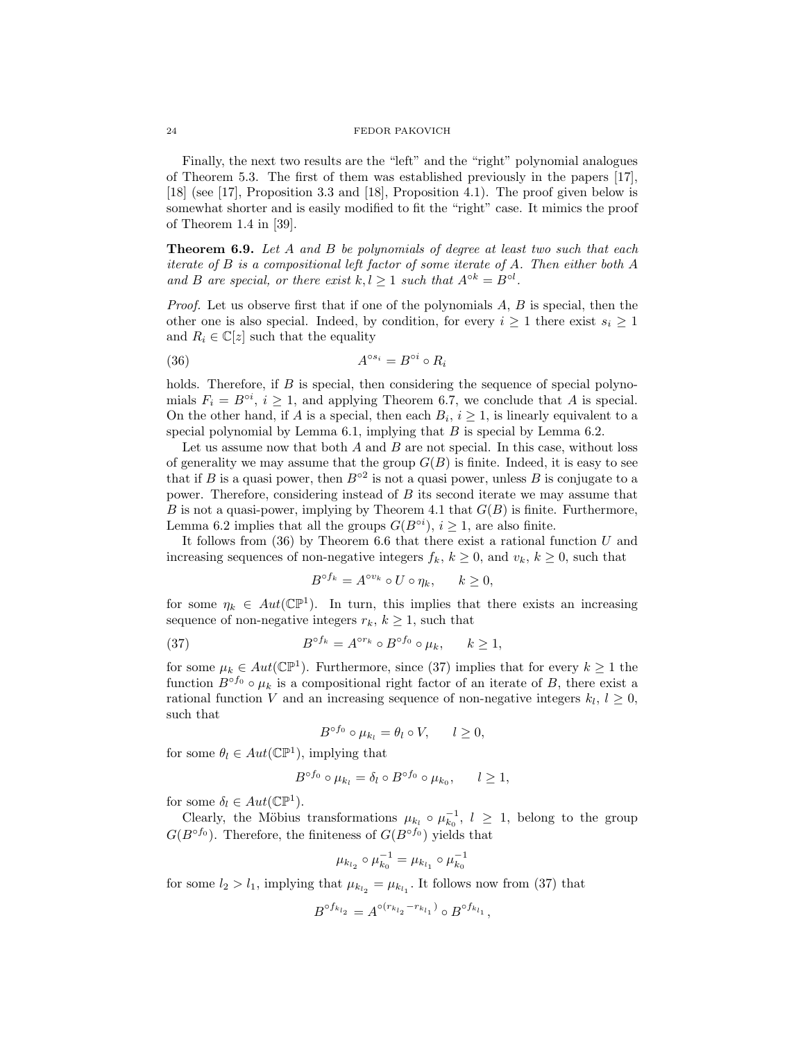Finally, the next two results are the "left" and the "right" polynomial analogues of Theorem 5.3. The first of them was established previously in the papers [17], [18] (see [17], Proposition 3.3 and [18], Proposition 4.1). The proof given below is somewhat shorter and is easily modified to fit the "right" case. It mimics the proof of Theorem 1.4 in [39].

**Theorem 6.9.** Let A and B be polynomials of degree at least two such that each iterate of B is a compositional left factor of some iterate of A. Then either both A and B are special, or there exist  $k, l \geq 1$  such that  $A^{\circ k} = B^{\circ l}$ .

*Proof.* Let us observe first that if one of the polynomials  $A, B$  is special, then the other one is also special. Indeed, by condition, for every  $i \geq 1$  there exist  $s_i \geq 1$ and  $R_i \in \mathbb{C}[z]$  such that the equality

$$
(36) \t\t\t A^{\circ s_i} = B^{\circ i} \circ R_i
$$

holds. Therefore, if  $B$  is special, then considering the sequence of special polynomials  $F_i = B^{\circ i}$ ,  $i \geq 1$ , and applying Theorem 6.7, we conclude that A is special. On the other hand, if A is a special, then each  $B_i$ ,  $i \geq 1$ , is linearly equivalent to a special polynomial by Lemma 6.1, implying that  $B$  is special by Lemma 6.2.

Let us assume now that both  $A$  and  $B$  are not special. In this case, without loss of generality we may assume that the group  $G(B)$  is finite. Indeed, it is easy to see that if B is a quasi power, then  $B^{\circ 2}$  is not a quasi power, unless B is conjugate to a power. Therefore, considering instead of  $B$  its second iterate we may assume that B is not a quasi-power, implying by Theorem 4.1 that  $G(B)$  is finite. Furthermore, Lemma 6.2 implies that all the groups  $G(B^{\circ i}), i \geq 1$ , are also finite.

It follows from  $(36)$  by Theorem 6.6 that there exist a rational function  $U$  and increasing sequences of non-negative integers  $f_k$ ,  $k \geq 0$ , and  $v_k$ ,  $k \geq 0$ , such that

$$
B^{\circ f_k} = A^{\circ v_k} \circ U \circ \eta_k, \qquad k \ge 0,
$$

for some  $\eta_k \in Aut(\mathbb{CP}^1)$ . In turn, this implies that there exists an increasing sequence of non-negative integers  $r_k$ ,  $k \geq 1$ , such that

(37) 
$$
B^{\circ f_k} = A^{\circ r_k} \circ B^{\circ f_0} \circ \mu_k, \quad k \ge 1,
$$

for some  $\mu_k \in Aut(\mathbb{CP}^1)$ . Furthermore, since (37) implies that for every  $k \geq 1$  the function  $B^{\circ f_0} \circ \mu_k$  is a compositional right factor of an iterate of B, there exist a rational function V and an increasing sequence of non-negative integers  $k_l, l \geq 0$ , such that

$$
B^{\circ f_0} \circ \mu_{k_l} = \theta_l \circ V, \qquad l \ge 0,
$$

for some  $\theta_l \in Aut(\mathbb{CP}^1)$ , implying that

$$
B^{\circ f_0} \circ \mu_{k_l} = \delta_l \circ B^{\circ f_0} \circ \mu_{k_0}, \qquad l \ge 1,
$$

for some  $\delta_l \in Aut(\mathbb{CP}^1)$ .

Clearly, the Möbius transformations  $\mu_{k_l} \circ \mu_{k_0}^{-1}$ ,  $l \geq 1$ , belong to the group  $G(B^{\circ f_0})$ . Therefore, the finiteness of  $G(B^{\circ f_0})$  yields that

$$
\mu_{k_{l_2}} \circ \mu_{k_0}^{-1} = \mu_{k_{l_1}} \circ \mu_{k_0}^{-1}
$$

for some  $l_2 > l_1$ , implying that  $\mu_{k_{l_2}} = \mu_{k_{l_1}}$ . It follows now from (37) that

$$
B^{\circ f_{k_{l_2}}}=A^{\circ (r_{k_{l_2}}-r_{k_{l_1}})}\circ B^{\circ f_{k_{l_1}}},
$$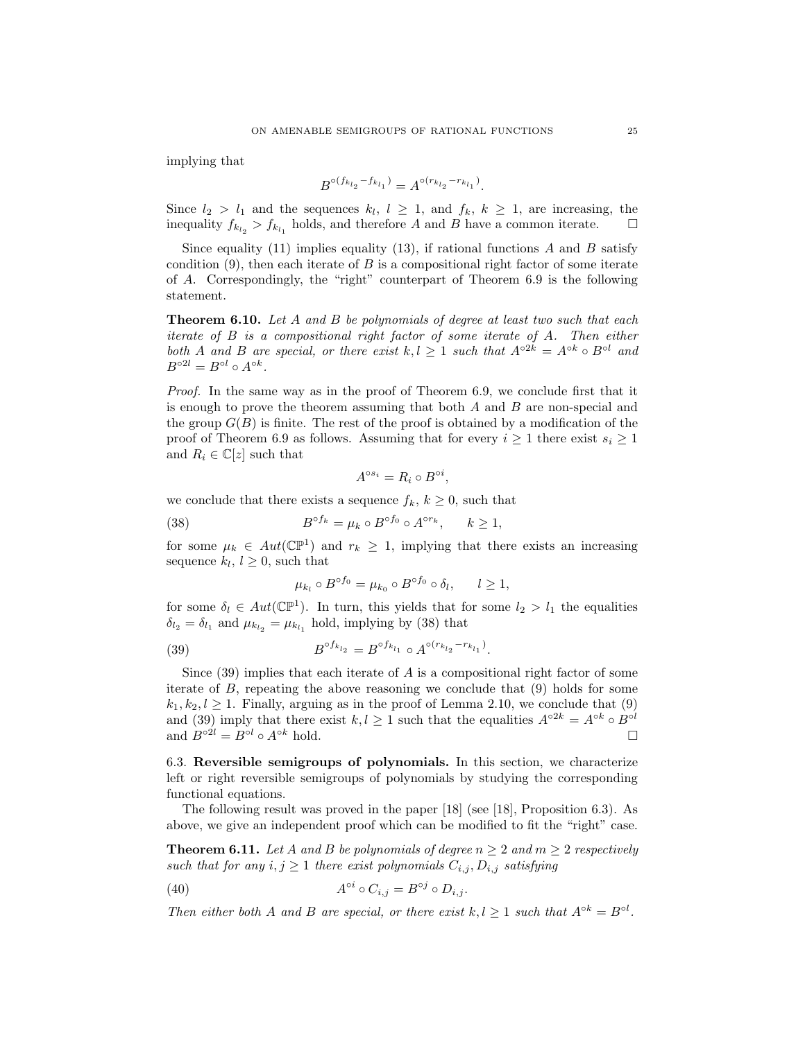implying that

$$
B^{\circ (f_{k_{l_2}} - f_{k_{l_1}})} = A^{\circ (r_{k_{l_2}} - r_{k_{l_1}})}.
$$

Since  $l_2 > l_1$  and the sequences  $k_l, l \geq 1$ , and  $f_k, k \geq 1$ , are increasing, the inequality  $f_{k_{l_2}} > f_{k_{l_1}}$  holds, and therefore A and B have a common iterate.  $\Box$ 

Since equality (11) implies equality (13), if rational functions  $A$  and  $B$  satisfy condition  $(9)$ , then each iterate of B is a compositional right factor of some iterate of A. Correspondingly, the "right" counterpart of Theorem 6.9 is the following statement.

**Theorem 6.10.** Let A and B be polynomials of degree at least two such that each iterate of B is a compositional right factor of some iterate of A. Then either both A and B are special, or there exist  $k, l \geq 1$  such that  $A^{\circ 2k} = A^{\circ k} \circ B^{\circ l}$  and  $B^{\circ 2l} = B^{\circ l} \circ A^{\circ k}.$ 

Proof. In the same way as in the proof of Theorem 6.9, we conclude first that it is enough to prove the theorem assuming that both  $A$  and  $B$  are non-special and the group  $G(B)$  is finite. The rest of the proof is obtained by a modification of the proof of Theorem 6.9 as follows. Assuming that for every  $i \geq 1$  there exist  $s_i \geq 1$ and  $R_i \in \mathbb{C}[z]$  such that

$$
A^{\circ s_i} = R_i \circ B^{\circ i},
$$

we conclude that there exists a sequence  $f_k, k \geq 0$ , such that

(38) 
$$
B^{\circ f_k} = \mu_k \circ B^{\circ f_0} \circ A^{\circ r_k}, \quad k \ge 1,
$$

for some  $\mu_k \in Aut(\mathbb{CP}^1)$  and  $r_k \geq 1$ , implying that there exists an increasing sequence  $k_l, l \geq 0$ , such that

$$
\mu_{k_l} \circ B^{\circ f_0} = \mu_{k_0} \circ B^{\circ f_0} \circ \delta_l, \quad l \ge 1,
$$

for some  $\delta_l \in Aut(\mathbb{CP}^1)$ . In turn, this yields that for some  $l_2 > l_1$  the equalities  $\delta_{l_2} = \delta_{l_1}$  and  $\mu_{k_{l_2}} = \mu_{k_{l_1}}$  hold, implying by (38) that

(39) 
$$
B^{\circ f_{k_{l_2}}} = B^{\circ f_{k_{l_1}}} \circ A^{\circ (r_{k_{l_2}} - r_{k_{l_1}})}.
$$

Since  $(39)$  implies that each iterate of A is a compositional right factor of some iterate of  $B$ , repeating the above reasoning we conclude that  $(9)$  holds for some  $k_1, k_2, l \geq 1$ . Finally, arguing as in the proof of Lemma 2.10, we conclude that (9) and (39) imply that there exist  $k, l \geq 1$  such that the equalities  $A^{\circ 2k} = A^{\circ k} \circ B^{\circ l}$ and  $B^{\circ 2l} = B^{\circ l} \circ A^{\circ k}$  hold.

6.3. Reversible semigroups of polynomials. In this section, we characterize left or right reversible semigroups of polynomials by studying the corresponding functional equations.

The following result was proved in the paper [18] (see [18], Proposition 6.3). As above, we give an independent proof which can be modified to fit the "right" case.

**Theorem 6.11.** Let A and B be polynomials of degree  $n \geq 2$  and  $m \geq 2$  respectively such that for any  $i, j \geq 1$  there exist polynomials  $C_{i,j}, D_{i,j}$  satisfying

(40) 
$$
A^{\circ i} \circ C_{i,j} = B^{\circ j} \circ D_{i,j}.
$$

Then either both A and B are special, or there exist  $k, l \geq 1$  such that  $A^{\circ k} = B^{\circ l}$ .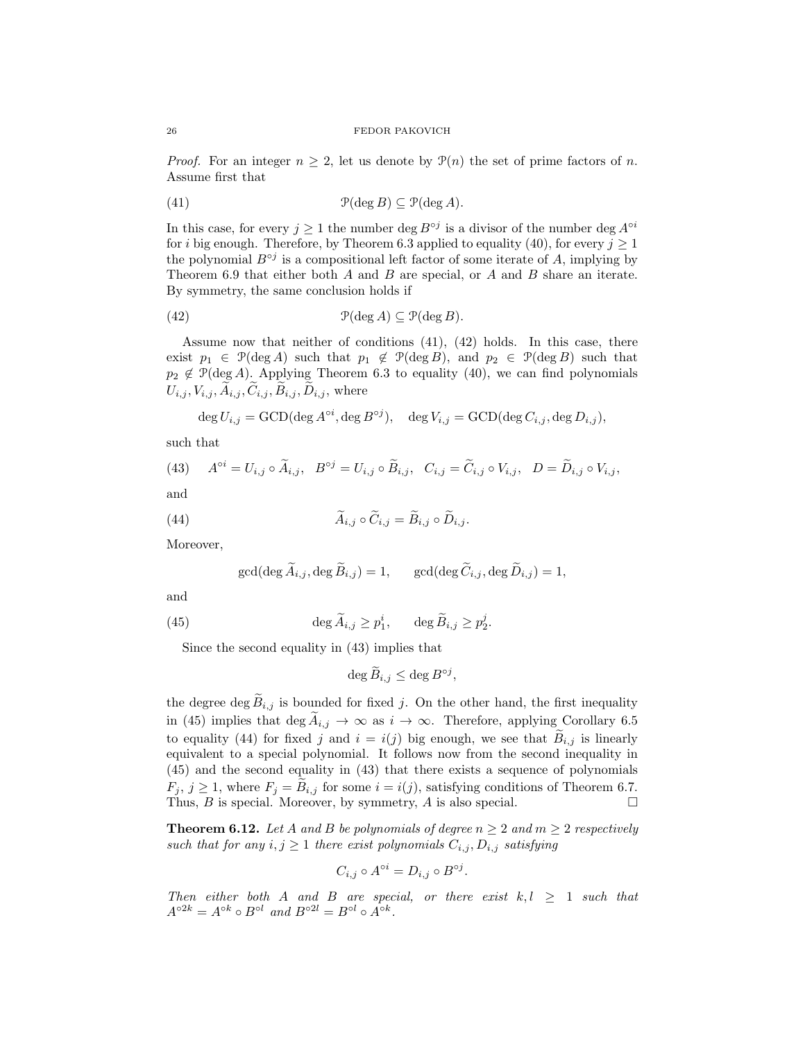*Proof.* For an integer  $n \geq 2$ , let us denote by  $\mathcal{P}(n)$  the set of prime factors of n. Assume first that

(41) 
$$
\mathcal{P}(\deg B) \subseteq \mathcal{P}(\deg A).
$$

In this case, for every  $j \geq 1$  the number deg  $B^{\circ j}$  is a divisor of the number deg  $A^{\circ i}$ for i big enough. Therefore, by Theorem 6.3 applied to equality (40), for every  $j \ge 1$ the polynomial  $B^{\circ j}$  is a compositional left factor of some iterate of A, implying by Theorem 6.9 that either both A and B are special, or A and B share an iterate. By symmetry, the same conclusion holds if

(42) 
$$
\mathcal{P}(\deg A) \subseteq \mathcal{P}(\deg B).
$$

Assume now that neither of conditions (41), (42) holds. In this case, there exist  $p_1 \in \mathcal{P}(\text{deg }A)$  such that  $p_1 \notin \mathcal{P}(\text{deg }B)$ , and  $p_2 \in \mathcal{P}(\text{deg }B)$  such that  $p_2 \notin \mathcal{P}(\text{deg }A)$ . Applying Theorem 6.3 to equality (40), we can find polynomials  $U_{i,j}, V_{i,j}, \widetilde{A}_{i,j}, \widetilde{C}_{i,j}, \widetilde{B}_{i,j}, \widetilde{D}_{i,j}$ , where

$$
\deg U_{i,j} = \text{GCD}(\deg A^{\circ i}, \deg B^{\circ j}), \quad \deg V_{i,j} = \text{GCD}(\deg C_{i,j}, \deg D_{i,j}),
$$

such that

(43) 
$$
A^{\circ i} = U_{i,j} \circ \widetilde{A}_{i,j}, \quad B^{\circ j} = U_{i,j} \circ \widetilde{B}_{i,j}, \quad C_{i,j} = \widetilde{C}_{i,j} \circ V_{i,j}, \quad D = \widetilde{D}_{i,j} \circ V_{i,j},
$$
  
and

(44) 
$$
A_{i,j} \circ C_{i,j} = B_{i,j} \circ D_{i,j}.
$$

Moreover,

$$
\gcd(\deg \widetilde{A}_{i,j}, \deg \widetilde{B}_{i,j}) = 1, \qquad \gcd(\deg \widetilde{C}_{i,j}, \deg \widetilde{D}_{i,j}) = 1,
$$

and

(45) 
$$
\deg \widetilde{A}_{i,j} \ge p_1^i, \qquad \deg \widetilde{B}_{i,j} \ge p_2^j.
$$

Since the second equality in (43) implies that

$$
\deg \widetilde{B}_{i,j} \leq \deg B^{\circ j},
$$

the degree deg  $B_{i,j}$  is bounded for fixed j. On the other hand, the first inequality in (45) implies that deg  $A_{i,j} \to \infty$  as  $i \to \infty$ . Therefore, applying Corollary 6.5 to equality (44) for fixed j and  $i = i(j)$  big enough, we see that  $B_{i,j}$  is linearly equivalent to a special polynomial. It follows now from the second inequality in (45) and the second equality in (43) that there exists a sequence of polynomials  $F_j$ ,  $j \ge 1$ , where  $F_j = B_{i,j}$  for some  $i = i(j)$ , satisfying conditions of Theorem 6.7.<br>Thus, B is special. Moreover, by symmetry, A is also special. Thus,  $B$  is special. Moreover, by symmetry,  $A$  is also special.

**Theorem 6.12.** Let A and B be polynomials of degree  $n \geq 2$  and  $m \geq 2$  respectively such that for any  $i, j \geq 1$  there exist polynomials  $C_{i,j}, D_{i,j}$  satisfying

$$
C_{i,j} \circ A^{\circ i} = D_{i,j} \circ B^{\circ j}.
$$

Then either both A and B are special, or there exist  $k, l \geq 1$  such that  $A^{\circ 2k} = A^{\circ k} \circ B^{\circ l}$  and  $B^{\circ 2l} = B^{\circ l} \circ A^{\circ k}$ .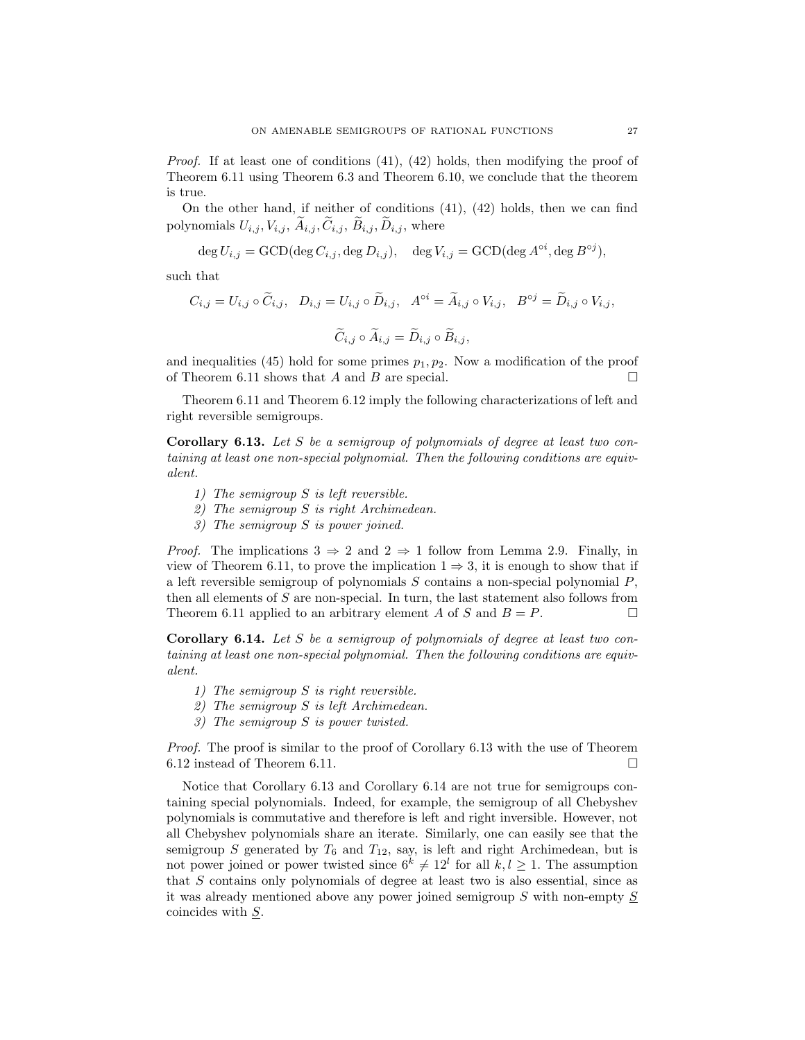*Proof.* If at least one of conditions  $(41)$ ,  $(42)$  holds, then modifying the proof of Theorem 6.11 using Theorem 6.3 and Theorem 6.10, we conclude that the theorem is true.

On the other hand, if neither of conditions (41), (42) holds, then we can find polynomials  $U_{i,j}, V_{i,j}, \tilde{A}_{i,j}, \tilde{C}_{i,j}, \tilde{B}_{i,j}, \tilde{D}_{i,j}$ , where

$$
\deg U_{i,j} = \text{GCD}(\deg C_{i,j}, \deg D_{i,j}), \quad \deg V_{i,j} = \text{GCD}(\deg A^{\circ i}, \deg B^{\circ j}),
$$

such that

$$
C_{i,j} = U_{i,j} \circ \widetilde{C}_{i,j}, \quad D_{i,j} = U_{i,j} \circ \widetilde{D}_{i,j}, \quad A^{\circ i} = \widetilde{A}_{i,j} \circ V_{i,j}, \quad B^{\circ j} = \widetilde{D}_{i,j} \circ V_{i,j},
$$

$$
\widetilde{C}_{i,j} \circ \widetilde{A}_{i,j} = \widetilde{D}_{i,j} \circ \widetilde{B}_{i,j},
$$

and inequalities (45) hold for some primes  $p_1, p_2$ . Now a modification of the proof of Theorem 6.11 shows that  $A$  and  $B$  are special.

Theorem 6.11 and Theorem 6.12 imply the following characterizations of left and right reversible semigroups.

**Corollary 6.13.** Let S be a semigroup of polynomials of degree at least two containing at least one non-special polynomial. Then the following conditions are equivalent.

- 1) The semigroup S is left reversible.
- 2) The semigroup S is right Archimedean.
- 3) The semigroup S is power joined.

*Proof.* The implications  $3 \Rightarrow 2$  and  $2 \Rightarrow 1$  follow from Lemma 2.9. Finally, in view of Theorem 6.11, to prove the implication  $1 \Rightarrow 3$ , it is enough to show that if a left reversible semigroup of polynomials  $S$  contains a non-special polynomial  $P$ , then all elements of S are non-special. In turn, the last statement also follows from Theorem 6.11 applied to an arbitrary element A of S and  $B = P$ .

**Corollary 6.14.** Let S be a semigroup of polynomials of degree at least two containing at least one non-special polynomial. Then the following conditions are equivalent.

- 1) The semigroup S is right reversible.
- 2) The semigroup S is left Archimedean.
- 3) The semigroup S is power twisted.

Proof. The proof is similar to the proof of Corollary 6.13 with the use of Theorem 6.12 instead of Theorem 6.11.  $\Box$ 

Notice that Corollary 6.13 and Corollary 6.14 are not true for semigroups containing special polynomials. Indeed, for example, the semigroup of all Chebyshev polynomials is commutative and therefore is left and right inversible. However, not all Chebyshev polynomials share an iterate. Similarly, one can easily see that the semigroup S generated by  $T_6$  and  $T_{12}$ , say, is left and right Archimedean, but is not power joined or power twisted since  $6^k \neq 12^l$  for all  $k, l \geq 1$ . The assumption that S contains only polynomials of degree at least two is also essential, since as it was already mentioned above any power joined semigroup S with non-empty S coincides with S.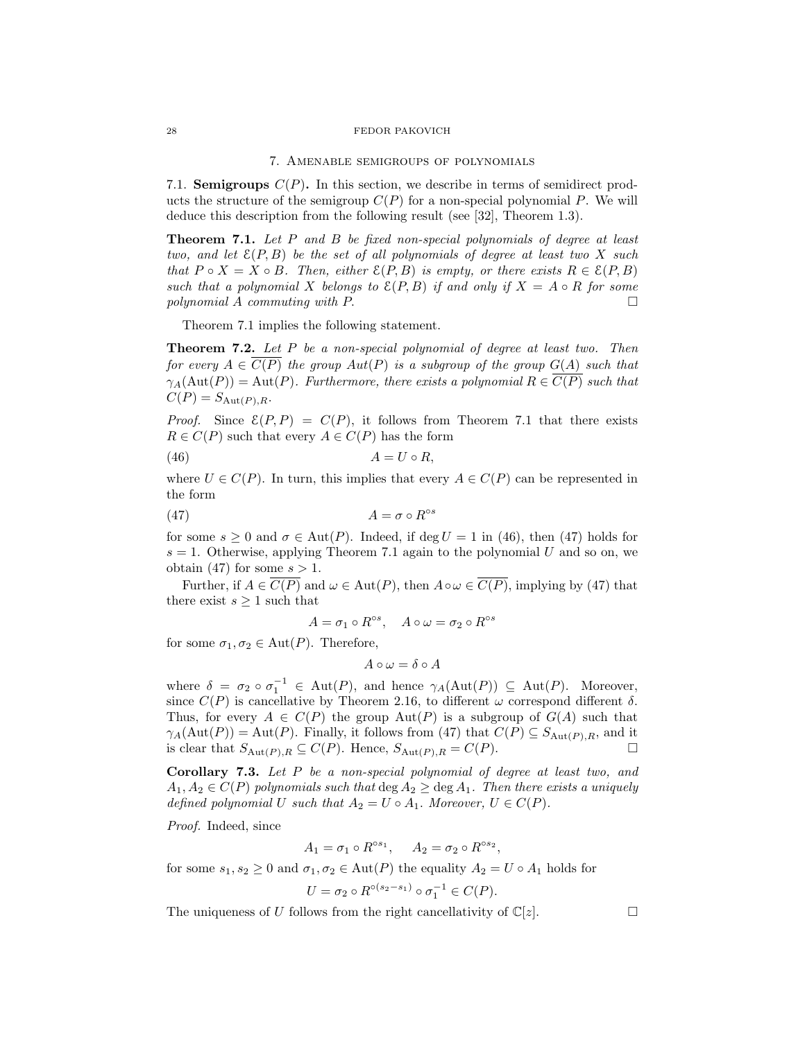#### 7. Amenable semigroups of polynomials

7.1. **Semigroups**  $C(P)$ . In this section, we describe in terms of semidirect products the structure of the semigroup  $C(P)$  for a non-special polynomial P. We will deduce this description from the following result (see [32], Theorem 1.3).

Theorem 7.1. Let P and B be fixed non-special polynomials of degree at least two, and let  $\mathcal{E}(P, B)$  be the set of all polynomials of degree at least two X such that  $P \circ X = X \circ B$ . Then, either  $\mathcal{E}(P, B)$  is empty, or there exists  $R \in \mathcal{E}(P, B)$ such that a polynomial X belongs to  $\mathcal{E}(P, B)$  if and only if  $X = A \circ R$  for some polynomial A commuting with P.  $\Box$ 

Theorem 7.1 implies the following statement.

Theorem 7.2. Let P be a non-special polynomial of degree at least two. Then for every  $A \in \overline{C(P)}$  the group  $Aut(P)$  is a subgroup of the group  $G(A)$  such that  $\gamma_A(\text{Aut}(P)) = \text{Aut}(P)$ . Furthermore, there exists a polynomial  $R \in \overline{C(P)}$  such that  $C(P) = S_{\text{Aut}(P),R}.$ 

*Proof.* Since  $\mathcal{E}(P, P) = C(P)$ , it follows from Theorem 7.1 that there exists  $R \in C(P)$  such that every  $A \in C(P)$  has the form

$$
(46) \t\t A = U \circ R,
$$

where  $U \in C(P)$ . In turn, this implies that every  $A \in C(P)$  can be represented in the form

$$
(47) \t\t\t A = \sigma \circ R^{\circ s}
$$

for some  $s > 0$  and  $\sigma \in \text{Aut}(P)$ . Indeed, if deg  $U = 1$  in (46), then (47) holds for  $s = 1$ . Otherwise, applying Theorem 7.1 again to the polynomial U and so on, we obtain (47) for some  $s > 1$ .

Further, if  $A \in \overline{C(P)}$  and  $\omega \in \text{Aut}(P)$ , then  $A \circ \omega \in \overline{C(P)}$ , implying by (47) that there exist  $s \geq 1$  such that

$$
A = \sigma_1 \circ R^{\circ s}, \quad A \circ \omega = \sigma_2 \circ R^{\circ s}
$$

for some  $\sigma_1, \sigma_2 \in \text{Aut}(P)$ . Therefore,

$$
A\circ \omega=\delta\circ A
$$

where  $\delta = \sigma_2 \circ \sigma_1^{-1} \in \text{Aut}(P)$ , and hence  $\gamma_A(\text{Aut}(P)) \subseteq \text{Aut}(P)$ . Moreover, since  $C(P)$  is cancellative by Theorem 2.16, to different  $\omega$  correspond different  $\delta$ . Thus, for every  $A \in C(P)$  the group  $Aut(P)$  is a subgroup of  $G(A)$  such that  $\gamma_A(\text{Aut}(P)) = \text{Aut}(P)$ . Finally, it follows from (47) that  $C(P) \subseteq S_{\text{Aut}(P),R}$ , and it is clear that  $S_{\text{Aut}(P),R} \subseteq C(P)$ . Hence,  $S_{\text{Aut}(P),R} = C(P)$ .

Corollary 7.3. Let P be a non-special polynomial of degree at least two, and  $A_1, A_2 \in C(P)$  polynomials such that  $\deg A_2 \geq \deg A_1$ . Then there exists a uniquely defined polynomial U such that  $A_2 = U \circ A_1$ . Moreover,  $U \in C(P)$ .

Proof. Indeed, since

$$
A_1 = \sigma_1 \circ R^{\circ s_1}, \quad A_2 = \sigma_2 \circ R^{\circ s_2},
$$

for some  $s_1, s_2 \geq 0$  and  $\sigma_1, \sigma_2 \in \text{Aut}(P)$  the equality  $A_2 = U \circ A_1$  holds for

$$
U = \sigma_2 \circ R^{\circ (s_2 - s_1)} \circ \sigma_1^{-1} \in C(P).
$$

The uniqueness of U follows from the right cancellativity of  $\mathbb{C}[z]$ .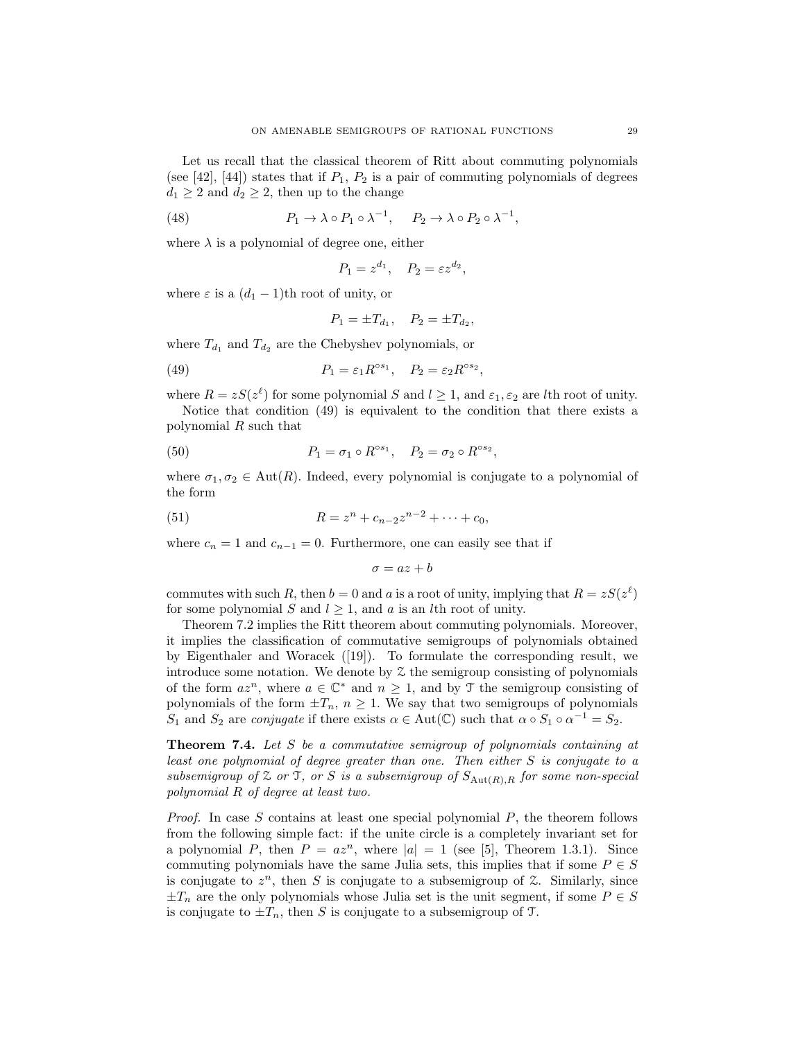Let us recall that the classical theorem of Ritt about commuting polynomials (see [42], [44]) states that if  $P_1$ ,  $P_2$  is a pair of commuting polynomials of degrees  $d_1 \geq 2$  and  $d_2 \geq 2$ , then up to the change

(48) 
$$
P_1 \to \lambda \circ P_1 \circ \lambda^{-1}, \quad P_2 \to \lambda \circ P_2 \circ \lambda^{-1},
$$

where  $\lambda$  is a polynomial of degree one, either

$$
P_1 = z^{d_1}, \quad P_2 = \varepsilon z^{d_2},
$$

where  $\varepsilon$  is a  $(d_1 - 1)$ th root of unity, or

$$
P_1 = \pm T_{d_1}, \quad P_2 = \pm T_{d_2},
$$

where  $T_{d_1}$  and  $T_{d_2}$  are the Chebyshev polynomials, or

(49) 
$$
P_1 = \varepsilon_1 R^{\circ s_1}, \quad P_2 = \varepsilon_2 R^{\circ s_2},
$$

where  $R = zS(z^{\ell})$  for some polynomial S and  $l \geq 1$ , and  $\varepsilon_1, \varepsilon_2$  are lth root of unity.

Notice that condition (49) is equivalent to the condition that there exists a polynomial R such that

(50) 
$$
P_1 = \sigma_1 \circ R^{\circ s_1}, \quad P_2 = \sigma_2 \circ R^{\circ s_2},
$$

where  $\sigma_1, \sigma_2 \in \text{Aut}(R)$ . Indeed, every polynomial is conjugate to a polynomial of the form

(51) 
$$
R = z^{n} + c_{n-2}z^{n-2} + \cdots + c_{0},
$$

where  $c_n = 1$  and  $c_{n-1} = 0$ . Furthermore, one can easily see that if

$$
\sigma = az + b
$$

commutes with such R, then  $b = 0$  and a is a root of unity, implying that  $R = zS(z^{\ell})$ for some polynomial S and  $l > 1$ , and a is an lth root of unity.

Theorem 7.2 implies the Ritt theorem about commuting polynomials. Moreover, it implies the classification of commutative semigroups of polynomials obtained by Eigenthaler and Woracek ([19]). To formulate the corresponding result, we introduce some notation. We denote by  $\mathfrak X$  the semigroup consisting of polynomials of the form  $az^n$ , where  $a \in \mathbb{C}^*$  and  $n \geq 1$ , and by  $\mathcal T$  the semigroup consisting of polynomials of the form  $\pm T_n$ ,  $n \geq 1$ . We say that two semigroups of polynomials S<sub>1</sub> and S<sub>2</sub> are *conjugate* if there exists  $\alpha \in Aut(\mathbb{C})$  such that  $\alpha \circ S_1 \circ \alpha^{-1} = S_2$ .

Theorem 7.4. Let S be a commutative semigroup of polynomials containing at least one polynomial of degree greater than one. Then either S is conjugate to a subsemigroup of  $\mathfrak X$  or  $\mathfrak T$ , or  $S$  is a subsemigroup of  $S_{\text{Aut}(R),R}$  for some non-special polynomial R of degree at least two.

*Proof.* In case S contains at least one special polynomial  $P$ , the theorem follows from the following simple fact: if the unite circle is a completely invariant set for a polynomial P, then  $P = az^n$ , where  $|a| = 1$  (see [5], Theorem 1.3.1). Since commuting polynomials have the same Julia sets, this implies that if some  $P \in S$ is conjugate to  $z^n$ , then S is conjugate to a subsemigroup of  $\mathcal Z$ . Similarly, since  $\pm T_n$  are the only polynomials whose Julia set is the unit segment, if some  $P \in S$ is conjugate to  $\pm T_n$ , then S is conjugate to a subsemigroup of T.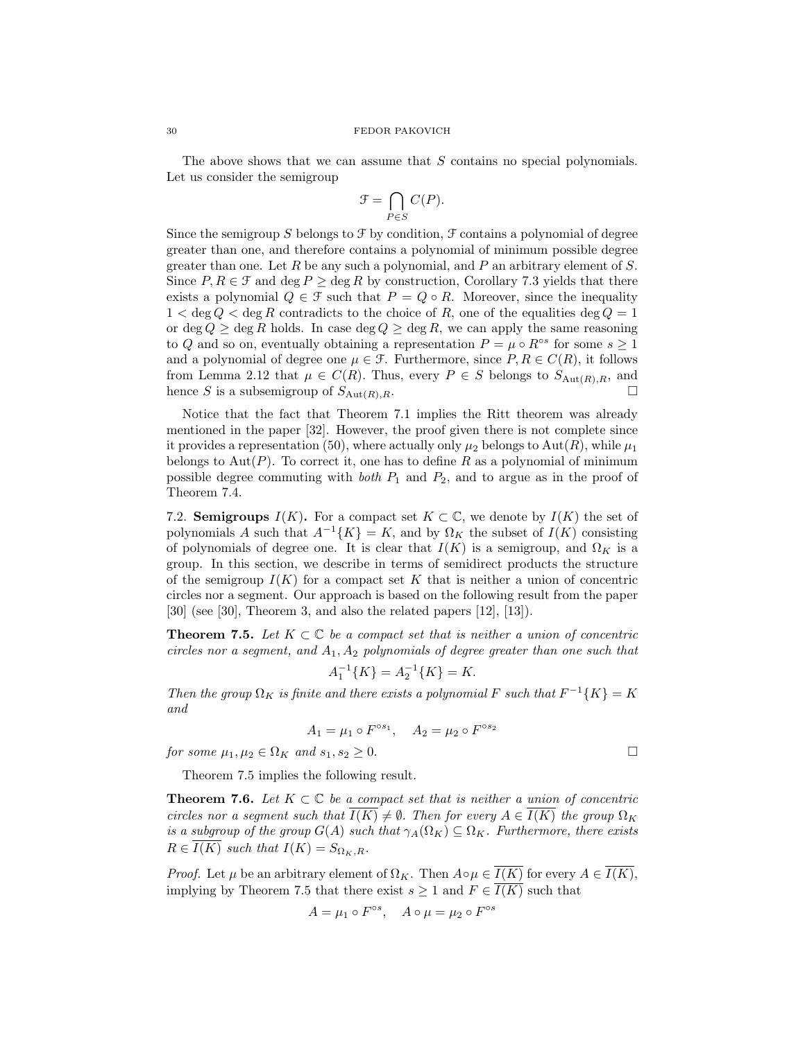The above shows that we can assume that S contains no special polynomials. Let us consider the semigroup

$$
\mathcal{F} = \bigcap_{P \in S} C(P).
$$

Since the semigroup S belongs to  $\mathcal F$  by condition,  $\mathcal F$  contains a polynomial of degree greater than one, and therefore contains a polynomial of minimum possible degree greater than one. Let  $R$  be any such a polynomial, and  $P$  an arbitrary element of  $S$ . Since  $P, R \in \mathcal{F}$  and deg  $P \ge \text{deg } R$  by construction, Corollary 7.3 yields that there exists a polynomial  $Q \in \mathcal{F}$  such that  $P = Q \circ R$ . Moreover, since the inequality  $1 < \deg Q < \deg R$  contradicts to the choice of R, one of the equalities  $\deg Q = 1$ or deg  $Q \ge \text{deg } R$  holds. In case deg  $Q \ge \text{deg } R$ , we can apply the same reasoning to Q and so on, eventually obtaining a representation  $P = \mu \circ R^{\circ s}$  for some  $s \geq 1$ and a polynomial of degree one  $\mu \in \mathcal{F}$ . Furthermore, since  $P, R \in C(R)$ , it follows from Lemma 2.12 that  $\mu \in C(R)$ . Thus, every  $P \in S$  belongs to  $S_{\text{Aut}(R),R}$ , and hence S is a subsemigroup of  $S_{\text{Aut}(R),R}$ .

Notice that the fact that Theorem 7.1 implies the Ritt theorem was already mentioned in the paper [32]. However, the proof given there is not complete since it provides a representation (50), where actually only  $\mu_2$  belongs to Aut(R), while  $\mu_1$ belongs to Aut(P). To correct it, one has to define R as a polynomial of minimum possible degree commuting with *both*  $P_1$  and  $P_2$ , and to argue as in the proof of Theorem 7.4.

7.2. Semigroups  $I(K)$ . For a compact set  $K \subset \mathbb{C}$ , we denote by  $I(K)$  the set of polynomials A such that  $A^{-1}{K} = K$ , and by  $\Omega_K$  the subset of  $I(K)$  consisting of polynomials of degree one. It is clear that  $I(K)$  is a semigroup, and  $\Omega_K$  is a group. In this section, we describe in terms of semidirect products the structure of the semigroup  $I(K)$  for a compact set K that is neither a union of concentric circles nor a segment. Our approach is based on the following result from the paper [30] (see [30], Theorem 3, and also the related papers [12], [13]).

**Theorem 7.5.** Let  $K \subset \mathbb{C}$  be a compact set that is neither a union of concentric circles nor a segment, and  $A_1, A_2$  polynomials of degree greater than one such that

$$
A_1^{-1}\{K\} = A_2^{-1}\{K\} = K.
$$

Then the group  $\Omega_K$  is finite and there exists a polynomial F such that  $F^{-1}{K} = K$ and

$$
A_1 = \mu_1 \circ F^{\circ s_1}, \quad A_2 = \mu_2 \circ F^{\circ s_2}
$$

for some  $\mu_1, \mu_2 \in \Omega_K$  and  $s_1, s_2 \geq 0$ .

Theorem 7.5 implies the following result.

**Theorem 7.6.** Let  $K \subset \mathbb{C}$  be a compact set that is neither a union of concentric circles nor a segment such that  $\overline{I(K)} \neq \emptyset$ . Then for every  $A \in \overline{I(K)}$  the group  $\Omega_K$ is a subgroup of the group  $G(A)$  such that  $\gamma_A(\Omega_K) \subseteq \Omega_K$ . Furthermore, there exists  $R \in I(K)$  such that  $I(K) = S_{\Omega_K, R}$ .

*Proof.* Let  $\mu$  be an arbitrary element of  $\Omega_K$ . Then  $A \circ \mu \in \overline{I(K)}$  for every  $A \in \overline{I(K)}$ , implying by Theorem 7.5 that there exist  $s \geq 1$  and  $F \in \overline{I(K)}$  such that

$$
A = \mu_1 \circ F^{\circ s}, \quad A \circ \mu = \mu_2 \circ F^{\circ s}
$$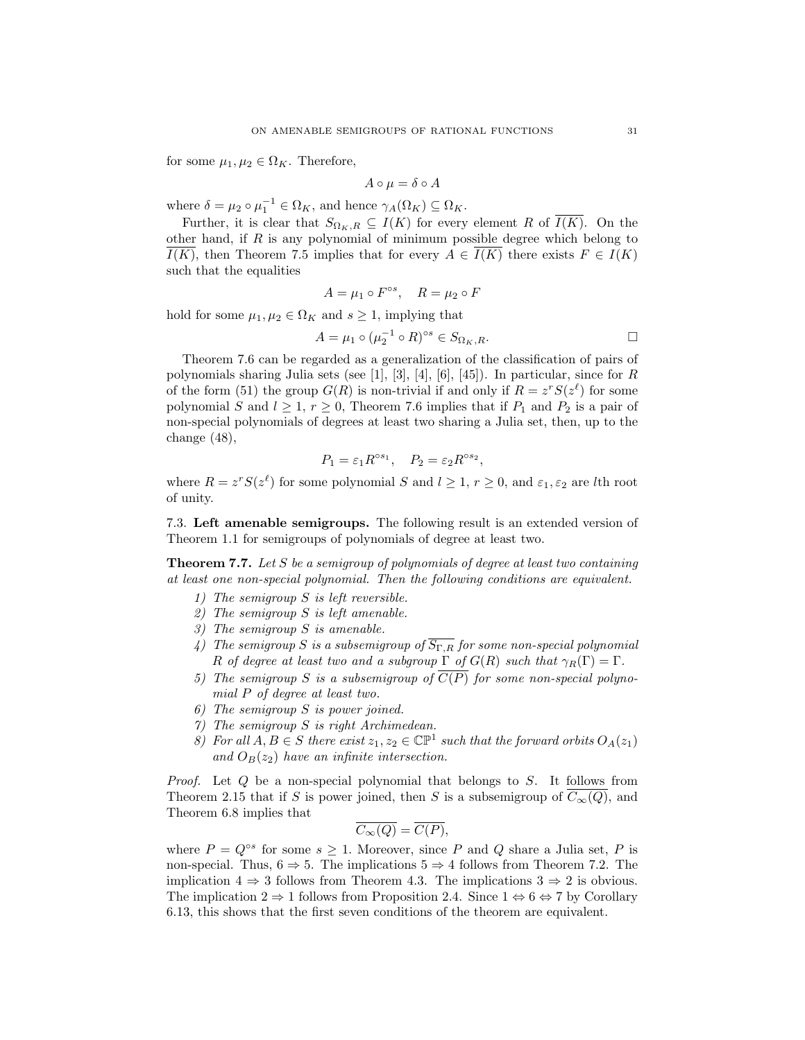for some  $\mu_1, \mu_2 \in \Omega_K$ . Therefore,

$$
A \circ \mu = \delta \circ A
$$

where  $\delta = \mu_2 \circ \mu_1^{-1} \in \Omega_K$ , and hence  $\gamma_A(\Omega_K) \subseteq \Omega_K$ .

Further, it is clear that  $S_{\Omega_K,R} \subseteq I(K)$  for every element R of  $I(K)$ . On the other hand, if  $R$  is any polynomial of minimum possible degree which belong to  $\overline{I(K)}$ , then Theorem 7.5 implies that for every  $A \in \overline{I(K)}$  there exists  $F \in I(K)$ such that the equalities

$$
A = \mu_1 \circ F^{\circ s}, \quad R = \mu_2 \circ F
$$

hold for some  $\mu_1, \mu_2 \in \Omega_K$  and  $s \geq 1$ , implying that

$$
A = \mu_1 \circ (\mu_2^{-1} \circ R)^{\circ s} \in S_{\Omega_K, R}.
$$

Theorem 7.6 can be regarded as a generalization of the classification of pairs of polynomials sharing Julia sets (see [1], [3], [4], [6], [45]). In particular, since for  $R$ of the form (51) the group  $G(R)$  is non-trivial if and only if  $R = z^r S(z^{\ell})$  for some polynomial S and  $l \geq 1$ ,  $r \geq 0$ , Theorem 7.6 implies that if  $P_1$  and  $P_2$  is a pair of non-special polynomials of degrees at least two sharing a Julia set, then, up to the change (48),

$$
P_1 = \varepsilon_1 R^{\circ s_1}, \quad P_2 = \varepsilon_2 R^{\circ s_2},
$$

where  $R = z^r S(z^{\ell})$  for some polynomial S and  $l \geq 1, r \geq 0$ , and  $\varepsilon_1, \varepsilon_2$  are lth root of unity.

7.3. Left amenable semigroups. The following result is an extended version of Theorem 1.1 for semigroups of polynomials of degree at least two.

**Theorem 7.7.** Let  $S$  be a semigroup of polynomials of degree at least two containing at least one non-special polynomial. Then the following conditions are equivalent.

- 1) The semigroup S is left reversible.
- 2) The semigroup S is left amenable.
- 3) The semigroup S is amenable.
- 4) The semigroup S is a subsemigroup of  $\overline{S_{\Gamma,R}}$  for some non-special polynomial R of degree at least two and a subgroup  $\Gamma$  of  $G(R)$  such that  $\gamma_R(\Gamma) = \Gamma$ .
- 5) The semigroup S is a subsemigroup of  $\overline{C(P)}$  for some non-special polynomial P of degree at least two.
- 6) The semigroup S is power joined.
- 7) The semigroup S is right Archimedean.
- 8) For all  $A, B \in S$  there exist  $z_1, z_2 \in \mathbb{CP}^1$  such that the forward orbits  $O_A(z_1)$ and  $O_B(z_2)$  have an infinite intersection.

*Proof.* Let  $Q$  be a non-special polynomial that belongs to  $S$ . It follows from Theorem 2.15 that if S is power joined, then S is a subsemigroup of  $C_{\infty}(Q)$ , and Theorem 6.8 implies that

$$
\overline{C_{\infty}(Q)} = \overline{C(P)},
$$

where  $P = Q^{\circ s}$  for some  $s \geq 1$ . Moreover, since P and Q share a Julia set, P is non-special. Thus,  $6 \Rightarrow 5$ . The implications  $5 \Rightarrow 4$  follows from Theorem 7.2. The implication  $4 \Rightarrow 3$  follows from Theorem 4.3. The implications  $3 \Rightarrow 2$  is obvious. The implication  $2 \Rightarrow 1$  follows from Proposition 2.4. Since  $1 \Leftrightarrow 6 \Leftrightarrow 7$  by Corollary 6.13, this shows that the first seven conditions of the theorem are equivalent.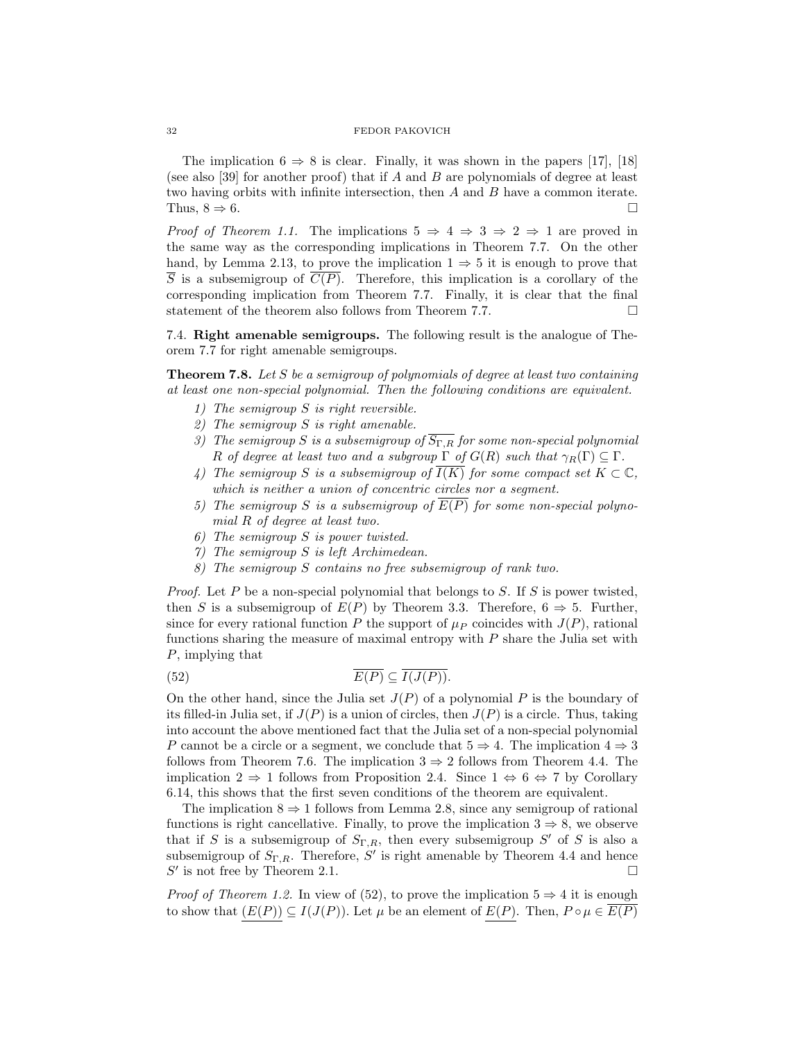The implication  $6 \Rightarrow 8$  is clear. Finally, it was shown in the papers [17], [18] (see also [39] for another proof) that if A and B are polynomials of degree at least two having orbits with infinite intersection, then A and B have a common iterate. Thus,  $8 \Rightarrow 6$ .

*Proof of Theorem 1.1.* The implications  $5 \Rightarrow 4 \Rightarrow 3 \Rightarrow 2 \Rightarrow 1$  are proved in the same way as the corresponding implications in Theorem 7.7. On the other hand, by Lemma 2.13, to prove the implication  $1 \Rightarrow 5$  it is enough to prove that  $\overline{S}$  is a subsemigroup of  $\overline{C(P)}$ . Therefore, this implication is a corollary of the corresponding implication from Theorem 7.7. Finally, it is clear that the final statement of the theorem also follows from Theorem 7.7.  $\Box$ 

7.4. Right amenable semigroups. The following result is the analogue of Theorem 7.7 for right amenable semigroups.

Theorem 7.8. Let S be a semigroup of polynomials of degree at least two containing at least one non-special polynomial. Then the following conditions are equivalent.

- 1) The semigroup S is right reversible.
- 2) The semigroup S is right amenable.
- 3) The semigroup S is a subsemigroup of  $\overline{S_{\Gamma,R}}$  for some non-special polynomial R of degree at least two and a subgroup  $\Gamma$  of  $G(R)$  such that  $\gamma_R(\Gamma) \subseteq \Gamma$ .
- 4) The semigroup S is a subsemigroup of  $\overline{I(K)}$  for some compact set  $K \subset \mathbb{C}$ , which is neither a union of concentric circles nor a segment.
- 5) The semigroup S is a subsemigroup of  $\overline{E(P)}$  for some non-special polynomial R of degree at least two.
- 6) The semigroup S is power twisted.
- 7) The semigroup S is left Archimedean.
- 8) The semigroup S contains no free subsemigroup of rank two.

*Proof.* Let P be a non-special polynomial that belongs to S. If S is power twisted, then S is a subsemigroup of  $E(P)$  by Theorem 3.3. Therefore,  $6 \Rightarrow 5$ . Further, since for every rational function P the support of  $\mu_P$  coincides with  $J(P)$ , rational functions sharing the measure of maximal entropy with  $P$  share the Julia set with P, implying that

(52) 
$$
\overline{E(P)} \subseteq \overline{I(J(P))}.
$$

On the other hand, since the Julia set  $J(P)$  of a polynomial P is the boundary of its filled-in Julia set, if  $J(P)$  is a union of circles, then  $J(P)$  is a circle. Thus, taking into account the above mentioned fact that the Julia set of a non-special polynomial P cannot be a circle or a segment, we conclude that  $5 \Rightarrow 4$ . The implication  $4 \Rightarrow 3$ follows from Theorem 7.6. The implication  $3 \Rightarrow 2$  follows from Theorem 4.4. The implication  $2 \Rightarrow 1$  follows from Proposition 2.4. Since  $1 \Leftrightarrow 6 \Leftrightarrow 7$  by Corollary 6.14, this shows that the first seven conditions of the theorem are equivalent.

The implication  $8 \Rightarrow 1$  follows from Lemma 2.8, since any semigroup of rational functions is right cancellative. Finally, to prove the implication  $3 \Rightarrow 8$ , we observe that if S is a subsemigroup of  $S_{\Gamma,R}$ , then every subsemigroup S' of S is also a subsemigroup of  $S_{\Gamma,R}$ . Therefore, S' is right amenable by Theorem 4.4 and hence  $S'$  is not free by Theorem 2.1.  $\square$ 

*Proof of Theorem 1.2.* In view of (52), to prove the implication  $5 \Rightarrow 4$  it is enough to show that  $(E(P)) \subseteq I(J(P))$ . Let  $\mu$  be an element of  $E(P)$ . Then,  $P \circ \mu \in E(P)$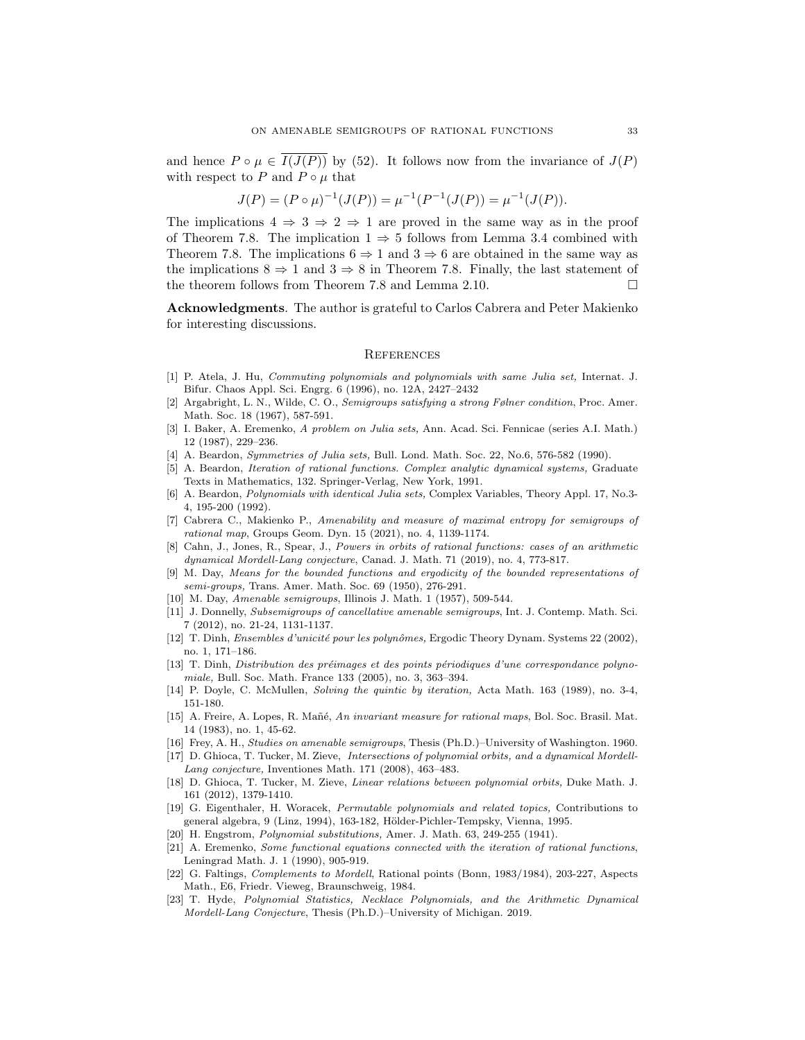and hence  $P \circ \mu \in \overline{I(J(P))}$  by (52). It follows now from the invariance of  $J(P)$ with respect to P and  $P \circ \mu$  that

$$
J(P)=(P\circ \mu)^{-1}(J(P))=\mu^{-1}(P^{-1}(J(P))=\mu^{-1}(J(P)).
$$

The implications  $4 \Rightarrow 3 \Rightarrow 2 \Rightarrow 1$  are proved in the same way as in the proof of Theorem 7.8. The implication  $1 \Rightarrow 5$  follows from Lemma 3.4 combined with Theorem 7.8. The implications  $6 \Rightarrow 1$  and  $3 \Rightarrow 6$  are obtained in the same way as the implications  $8 \Rightarrow 1$  and  $3 \Rightarrow 8$  in Theorem 7.8. Finally, the last statement of the theorem follows from Theorem 7.8 and Lemma 2.10.  $\Box$ 

Acknowledgments. The author is grateful to Carlos Cabrera and Peter Makienko for interesting discussions.

### **REFERENCES**

- [1] P. Atela, J. Hu, Commuting polynomials and polynomials with same Julia set, Internat. J. Bifur. Chaos Appl. Sci. Engrg. 6 (1996), no. 12A, 2427–2432
- [2] Argabright, L. N., Wilde, C. O., Semigroups satisfying a strong Følner condition, Proc. Amer. Math. Soc. 18 (1967), 587-591.
- [3] I. Baker, A. Eremenko, A problem on Julia sets, Ann. Acad. Sci. Fennicae (series A.I. Math.) 12 (1987), 229–236.
- [4] A. Beardon, Symmetries of Julia sets, Bull. Lond. Math. Soc. 22, No.6, 576-582 (1990).
- [5] A. Beardon, Iteration of rational functions. Complex analytic dynamical systems, Graduate Texts in Mathematics, 132. Springer-Verlag, New York, 1991.
- [6] A. Beardon, Polynomials with identical Julia sets, Complex Variables, Theory Appl. 17, No.3- 4, 195-200 (1992).
- [7] Cabrera C., Makienko P., Amenability and measure of maximal entropy for semigroups of rational map, Groups Geom. Dyn. 15 (2021), no. 4, 1139-1174.
- [8] Cahn, J., Jones, R., Spear, J., Powers in orbits of rational functions: cases of an arithmetic dynamical Mordell-Lang conjecture, Canad. J. Math. 71 (2019), no. 4, 773-817.
- [9] M. Day, Means for the bounded functions and ergodicity of the bounded representations of semi-groups, Trans. Amer. Math. Soc. 69 (1950), 276-291.
- [10] M. Day, Amenable semigroups, Illinois J. Math. 1 (1957), 509-544.
- [11] J. Donnelly, Subsemigroups of cancellative amenable semigroups, Int. J. Contemp. Math. Sci. 7 (2012), no. 21-24, 1131-1137.
- [12] T. Dinh, *Ensembles d'unicité pour les polynômes*, Ergodic Theory Dynam. Systems 22 (2002), no. 1, 171–186.
- [13] T. Dinh, Distribution des préimages et des points périodiques d'une correspondance polynomiale, Bull. Soc. Math. France 133 (2005), no. 3, 363–394.
- [14] P. Doyle, C. McMullen, Solving the quintic by iteration, Acta Math. 163 (1989), no. 3-4, 151-180.
- [15] A. Freire, A. Lopes, R. Mañé, An invariant measure for rational maps, Bol. Soc. Brasil. Mat. 14 (1983), no. 1, 45-62.
- [16] Frey, A. H., Studies on amenable semigroups, Thesis (Ph.D.)–University of Washington. 1960.
- [17] D. Ghioca, T. Tucker, M. Zieve, Intersections of polynomial orbits, and a dynamical Mordell-Lang conjecture, Inventiones Math. 171 (2008), 463–483.
- [18] D. Ghioca, T. Tucker, M. Zieve, Linear relations between polynomial orbits, Duke Math. J. 161 (2012), 1379-1410.
- [19] G. Eigenthaler, H. Woracek, Permutable polynomials and related topics, Contributions to general algebra, 9 (Linz, 1994), 163-182, Hölder-Pichler-Tempsky, Vienna, 1995.
- [20] H. Engstrom, Polynomial substitutions, Amer. J. Math. 63, 249-255 (1941).
- [21] A. Eremenko, Some functional equations connected with the iteration of rational functions, Leningrad Math. J. 1 (1990), 905-919.
- [22] G. Faltings, Complements to Mordell, Rational points (Bonn, 1983/1984), 203-227, Aspects Math., E6, Friedr. Vieweg, Braunschweig, 1984.
- [23] T. Hyde, Polynomial Statistics, Necklace Polynomials, and the Arithmetic Dynamical Mordell-Lang Conjecture, Thesis (Ph.D.)–University of Michigan. 2019.